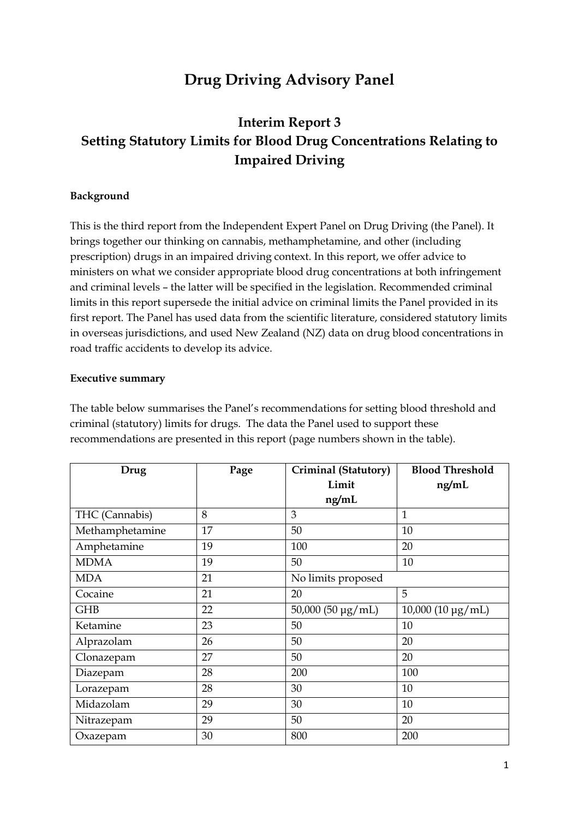# **Drug Driving Advisory Panel**

# **Interim Report 3 Setting Statutory Limits for Blood Drug Concentrations Relating to Impaired Driving**

#### **Background**

This is the third report from the Independent Expert Panel on Drug Driving (the Panel). It brings together our thinking on cannabis, methamphetamine, and other (including prescription) drugs in an impaired driving context. In this report, we offer advice to ministers on what we consider appropriate blood drug concentrations at both infringement and criminal levels – the latter will be specified in the legislation. Recommended criminal limits in this report supersede the initial advice on criminal limits the Panel provided in its first report. The Panel has used data from the scientific literature, considered statutory limits in overseas jurisdictions, and used New Zealand (NZ) data on drug blood concentrations in road traffic accidents to develop its advice.

#### **Executive summary**

The table below summarises the Panel's recommendations for setting blood threshold and criminal (statutory) limits for drugs. The data the Panel used to support these recommendations are presented in this report (page numbers shown in the table).

| Drug            | Page | <b>Blood Threshold</b><br>Criminal (Statutory) |                     |  |
|-----------------|------|------------------------------------------------|---------------------|--|
|                 |      | Limit                                          | ng/mL               |  |
|                 |      | ng/mL                                          |                     |  |
| THC (Cannabis)  | 8    | 3                                              | $\mathbf{1}$        |  |
| Methamphetamine | 17   | 50                                             | 10                  |  |
| Amphetamine     | 19   | 100                                            | 20                  |  |
| <b>MDMA</b>     | 19   | 50                                             | 10                  |  |
| <b>MDA</b>      | 21   | No limits proposed                             |                     |  |
| Cocaine         | 21   | 20                                             | 5                   |  |
| <b>GHB</b>      | 22   | 50,000 (50 µg/mL)                              | $10,000$ (10 µg/mL) |  |
| Ketamine        | 23   | 50                                             | 10                  |  |
| Alprazolam      | 26   | 50                                             | 20                  |  |
| Clonazepam      | 27   | 50                                             | 20                  |  |
| Diazepam        | 28   | 200                                            | 100                 |  |
| Lorazepam       | 28   | 30                                             | 10                  |  |
| Midazolam       | 29   | 30                                             | 10                  |  |
| Nitrazepam      | 29   | 50                                             | 20                  |  |
| Oxazepam        | 30   | 800                                            | 200                 |  |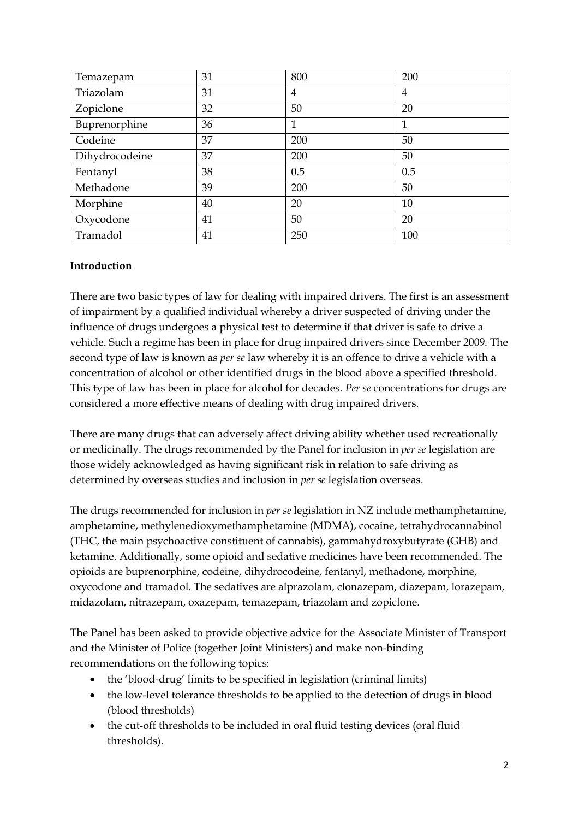| Temazepam      | 31 | 800 | 200 |
|----------------|----|-----|-----|
| Triazolam      | 31 | 4   | 4   |
| Zopiclone      | 32 | 50  | 20  |
| Buprenorphine  | 36 | 1   | 1   |
| Codeine        | 37 | 200 | 50  |
| Dihydrocodeine | 37 | 200 | 50  |
| Fentanyl       | 38 | 0.5 | 0.5 |
| Methadone      | 39 | 200 | 50  |
| Morphine       | 40 | 20  | 10  |
| Oxycodone      | 41 | 50  | 20  |
| Tramadol       | 41 | 250 | 100 |

#### **Introduction**

There are two basic types of law for dealing with impaired drivers. The first is an assessment of impairment by a qualified individual whereby a driver suspected of driving under the influence of drugs undergoes a physical test to determine if that driver is safe to drive a vehicle. Such a regime has been in place for drug impaired drivers since December 2009. The second type of law is known as *per se* law whereby it is an offence to drive a vehicle with a concentration of alcohol or other identified drugs in the blood above a specified threshold. This type of law has been in place for alcohol for decades. *Per se* concentrations for drugs are considered a more effective means of dealing with drug impaired drivers.

There are many drugs that can adversely affect driving ability whether used recreationally or medicinally. The drugs recommended by the Panel for inclusion in *per se* legislation are those widely acknowledged as having significant risk in relation to safe driving as determined by overseas studies and inclusion in *per se* legislation overseas.

The drugs recommended for inclusion in *per se* legislation in NZ include methamphetamine, amphetamine, methylenedioxymethamphetamine (MDMA), cocaine, tetrahydrocannabinol (THC, the main psychoactive constituent of cannabis), gammahydroxybutyrate (GHB) and ketamine. Additionally, some opioid and sedative medicines have been recommended. The opioids are buprenorphine, codeine, dihydrocodeine, fentanyl, methadone, morphine, oxycodone and tramadol. The sedatives are alprazolam, clonazepam, diazepam, lorazepam, midazolam, nitrazepam, oxazepam, temazepam, triazolam and zopiclone.

The Panel has been asked to provide objective advice for the Associate Minister of Transport and the Minister of Police (together Joint Ministers) and make non-binding recommendations on the following topics:

- the 'blood-drug' limits to be specified in legislation (criminal limits)
- the low-level tolerance thresholds to be applied to the detection of drugs in blood (blood thresholds)
- the cut-off thresholds to be included in oral fluid testing devices (oral fluid thresholds).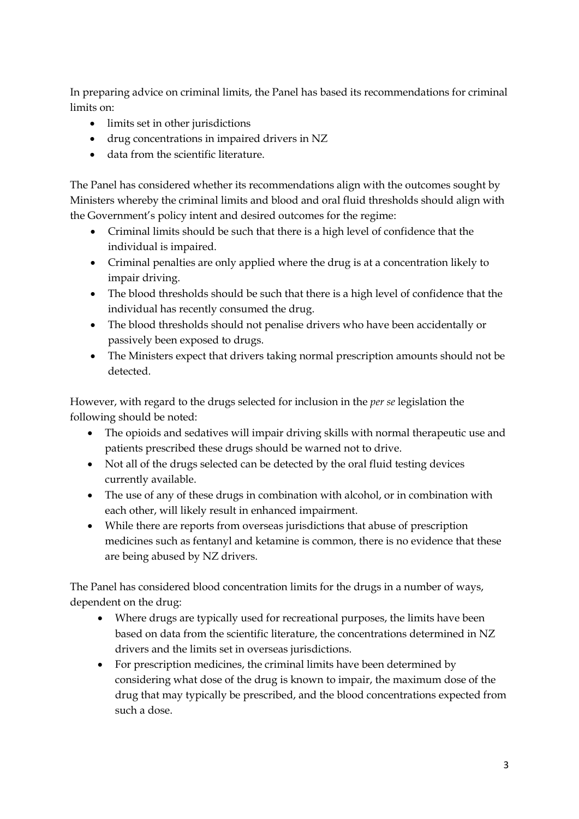In preparing advice on criminal limits, the Panel has based its recommendations for criminal limits on:

- limits set in other jurisdictions
- drug concentrations in impaired drivers in NZ
- data from the scientific literature.

The Panel has considered whether its recommendations align with the outcomes sought by Ministers whereby the criminal limits and blood and oral fluid thresholds should align with the Government's policy intent and desired outcomes for the regime:

- Criminal limits should be such that there is a high level of confidence that the individual is impaired.
- Criminal penalties are only applied where the drug is at a concentration likely to impair driving.
- The blood thresholds should be such that there is a high level of confidence that the individual has recently consumed the drug.
- The blood thresholds should not penalise drivers who have been accidentally or passively been exposed to drugs.
- The Ministers expect that drivers taking normal prescription amounts should not be detected.

However, with regard to the drugs selected for inclusion in the *per se* legislation the following should be noted:

- The opioids and sedatives will impair driving skills with normal therapeutic use and patients prescribed these drugs should be warned not to drive.
- Not all of the drugs selected can be detected by the oral fluid testing devices currently available.
- The use of any of these drugs in combination with alcohol, or in combination with each other, will likely result in enhanced impairment.
- While there are reports from overseas jurisdictions that abuse of prescription medicines such as fentanyl and ketamine is common, there is no evidence that these are being abused by NZ drivers.

The Panel has considered blood concentration limits for the drugs in a number of ways, dependent on the drug:

- Where drugs are typically used for recreational purposes, the limits have been based on data from the scientific literature, the concentrations determined in NZ drivers and the limits set in overseas jurisdictions.
- For prescription medicines, the criminal limits have been determined by considering what dose of the drug is known to impair, the maximum dose of the drug that may typically be prescribed, and the blood concentrations expected from such a dose.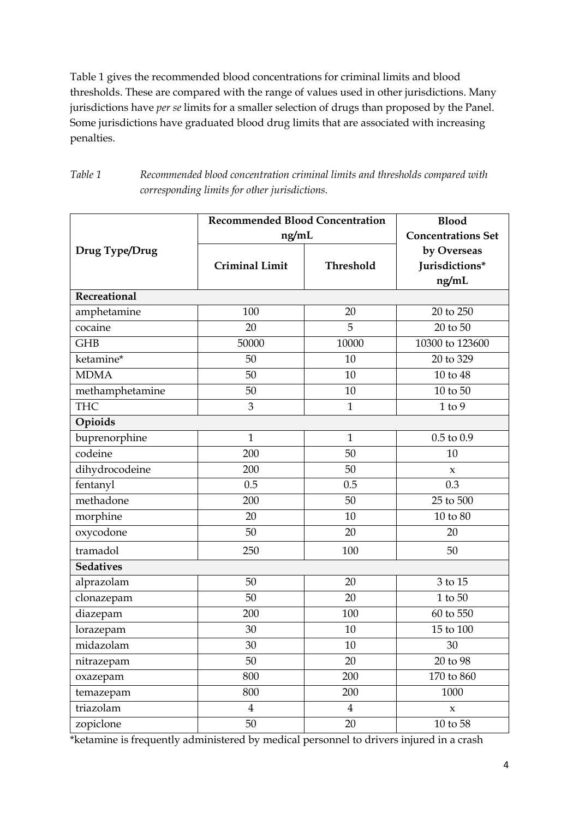Table 1 gives the recommended blood concentrations for criminal limits and blood thresholds. These are compared with the range of values used in other jurisdictions. Many jurisdictions have *per se* limits for a smaller selection of drugs than proposed by the Panel. Some jurisdictions have graduated blood drug limits that are associated with increasing penalties.

| Table 1 | Recommended blood concentration criminal limits and thresholds compared with |
|---------|------------------------------------------------------------------------------|
|         | corresponding limits for other jurisdictions.                                |

|                     | <b>Recommended Blood Concentration</b> | <b>Blood</b>              |                     |  |
|---------------------|----------------------------------------|---------------------------|---------------------|--|
|                     | ng/mL                                  | <b>Concentrations Set</b> |                     |  |
| Drug Type/Drug      |                                        |                           | by Overseas         |  |
|                     | <b>Criminal Limit</b>                  | Threshold                 | Jurisdictions*      |  |
|                     |                                        |                           | ng/mL               |  |
| <b>Recreational</b> |                                        |                           |                     |  |
| amphetamine         | 100                                    | 20                        | 20 to 250           |  |
| cocaine             | 20                                     | 5                         | 20 to 50            |  |
| <b>GHB</b>          | 50000                                  | 10000                     | 10300 to 123600     |  |
| ketamine*           | 50                                     | 10                        | 20 to 329           |  |
| <b>MDMA</b>         | 50                                     | 10                        | 10 to 48            |  |
| methamphetamine     | 50                                     | 10                        | 10 to 50            |  |
| <b>THC</b>          | 3                                      | $\mathbf{1}$              | $1$ to $9$          |  |
| Opioids             |                                        |                           |                     |  |
| buprenorphine       | $\mathbf{1}$                           | $\mathbf{1}$              | $0.5$ to $0.9$      |  |
| codeine             | 200                                    | 50                        | 10                  |  |
| dihydrocodeine      | 200                                    | 50                        | $\boldsymbol{\chi}$ |  |
| fentanyl            | 0.5                                    | 0.5                       | 0.3                 |  |
| methadone           | 200                                    | 50                        | 25 to 500           |  |
| morphine            | 20                                     | 10                        | $10$ to $80$        |  |
| oxycodone           | 50                                     | 20                        | 20                  |  |
| tramadol            | 250                                    | 100                       | 50                  |  |
| <b>Sedatives</b>    |                                        |                           |                     |  |
| alprazolam          | 50                                     | 20                        | 3 to 15             |  |
| clonazepam          | 50                                     | 20                        | 1 to 50             |  |
| diazepam            | 200                                    | 100                       | $60$ to $550\,$     |  |
| lorazepam           | 30                                     | 10                        | 15 to 100           |  |
| midazolam           | 30                                     | 10                        | 30                  |  |
| nitrazepam          | 50                                     | 20                        | 20 to 98            |  |
| oxazepam            | 800                                    | 200                       | 170 to 860          |  |
| temazepam           | 800                                    | 200                       | 1000                |  |
| triazolam           | $\overline{4}$                         | $\overline{4}$            | $\boldsymbol{\chi}$ |  |
| zopiclone           | 50                                     | 20                        | $10$ to $58\,$      |  |

\*ketamine is frequently administered by medical personnel to drivers injured in a crash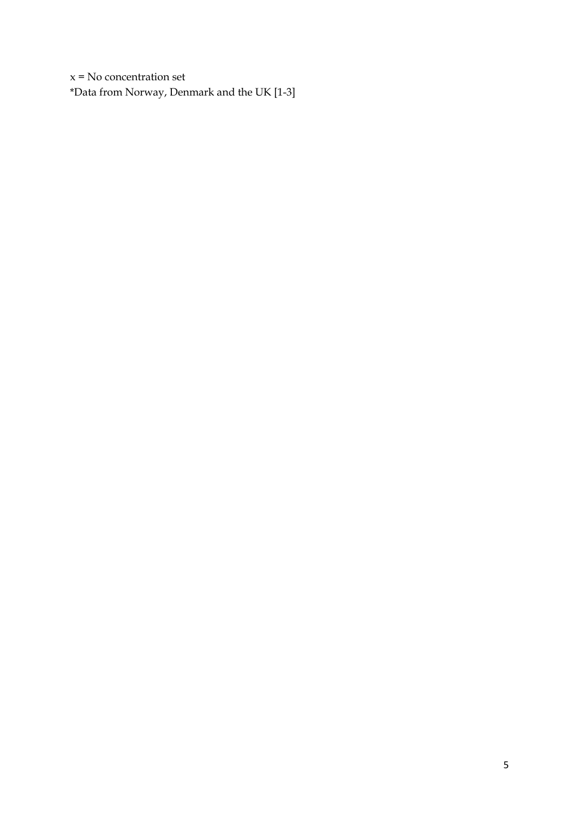$x = No$  concentration set \*Data from Norway, Denmark and the UK [1-3]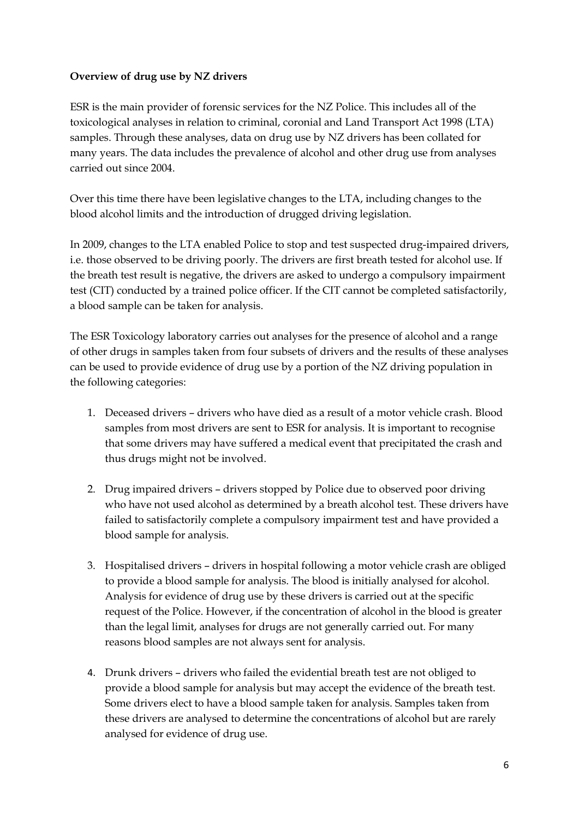#### **Overview of drug use by NZ drivers**

ESR is the main provider of forensic services for the NZ Police. This includes all of the toxicological analyses in relation to criminal, coronial and Land Transport Act 1998 (LTA) samples. Through these analyses, data on drug use by NZ drivers has been collated for many years. The data includes the prevalence of alcohol and other drug use from analyses carried out since 2004.

Over this time there have been legislative changes to the LTA, including changes to the blood alcohol limits and the introduction of drugged driving legislation.

In 2009, changes to the LTA enabled Police to stop and test suspected drug-impaired drivers, i.e. those observed to be driving poorly. The drivers are first breath tested for alcohol use. If the breath test result is negative, the drivers are asked to undergo a compulsory impairment test (CIT) conducted by a trained police officer. If the CIT cannot be completed satisfactorily, a blood sample can be taken for analysis.

The ESR Toxicology laboratory carries out analyses for the presence of alcohol and a range of other drugs in samples taken from four subsets of drivers and the results of these analyses can be used to provide evidence of drug use by a portion of the NZ driving population in the following categories:

- 1. Deceased drivers drivers who have died as a result of a motor vehicle crash. Blood samples from most drivers are sent to ESR for analysis. It is important to recognise that some drivers may have suffered a medical event that precipitated the crash and thus drugs might not be involved.
- 2. Drug impaired drivers drivers stopped by Police due to observed poor driving who have not used alcohol as determined by a breath alcohol test. These drivers have failed to satisfactorily complete a compulsory impairment test and have provided a blood sample for analysis.
- 3. Hospitalised drivers drivers in hospital following a motor vehicle crash are obliged to provide a blood sample for analysis. The blood is initially analysed for alcohol. Analysis for evidence of drug use by these drivers is carried out at the specific request of the Police. However, if the concentration of alcohol in the blood is greater than the legal limit, analyses for drugs are not generally carried out. For many reasons blood samples are not always sent for analysis.
- 4. Drunk drivers drivers who failed the evidential breath test are not obliged to provide a blood sample for analysis but may accept the evidence of the breath test. Some drivers elect to have a blood sample taken for analysis. Samples taken from these drivers are analysed to determine the concentrations of alcohol but are rarely analysed for evidence of drug use.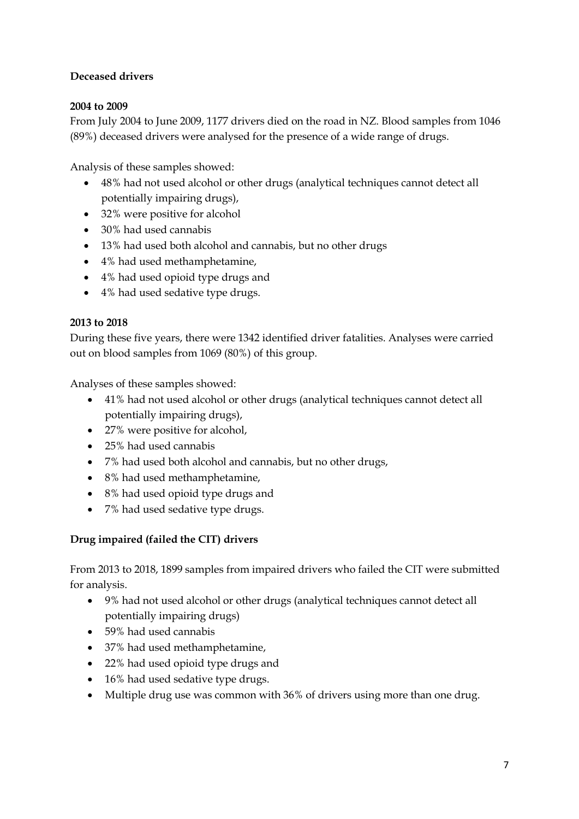## **Deceased drivers**

#### **2004 to 2009**

From July 2004 to June 2009, 1177 drivers died on the road in NZ. Blood samples from 1046 (89%) deceased drivers were analysed for the presence of a wide range of drugs.

Analysis of these samples showed:

- 48% had not used alcohol or other drugs (analytical techniques cannot detect all potentially impairing drugs),
- 32% were positive for alcohol
- 30% had used cannabis
- 13% had used both alcohol and cannabis, but no other drugs
- 4% had used methamphetamine,
- 4% had used opioid type drugs and
- 4% had used sedative type drugs.

#### **2013 to 2018**

During these five years, there were 1342 identified driver fatalities. Analyses were carried out on blood samples from 1069 (80%) of this group.

Analyses of these samples showed:

- 41% had not used alcohol or other drugs (analytical techniques cannot detect all potentially impairing drugs),
- 27% were positive for alcohol,
- 25% had used cannabis
- 7% had used both alcohol and cannabis, but no other drugs,
- 8% had used methamphetamine,
- 8% had used opioid type drugs and
- 7% had used sedative type drugs.

#### **Drug impaired (failed the CIT) drivers**

From 2013 to 2018, 1899 samples from impaired drivers who failed the CIT were submitted for analysis.

- 9% had not used alcohol or other drugs (analytical techniques cannot detect all potentially impairing drugs)
- 59% had used cannabis
- 37% had used methamphetamine,
- 22% had used opioid type drugs and
- 16% had used sedative type drugs.
- Multiple drug use was common with 36% of drivers using more than one drug.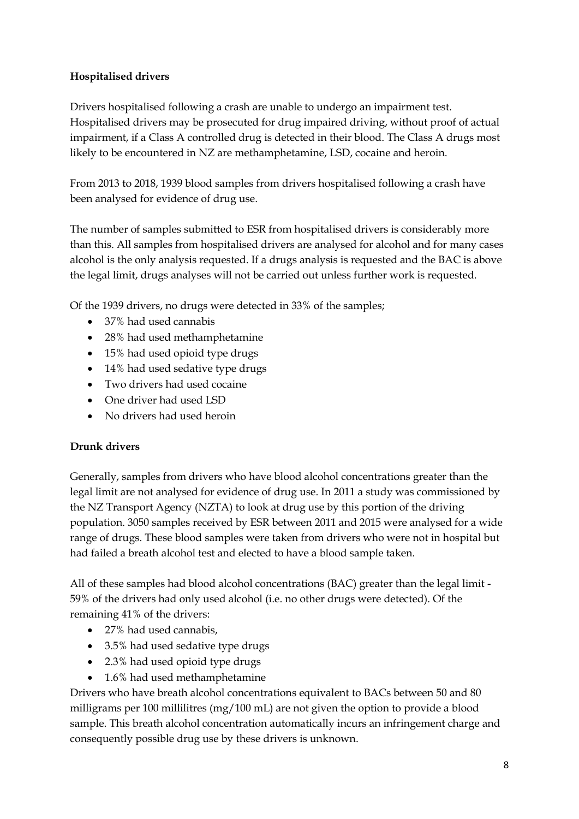### **Hospitalised drivers**

Drivers hospitalised following a crash are unable to undergo an impairment test. Hospitalised drivers may be prosecuted for drug impaired driving, without proof of actual impairment, if a Class A controlled drug is detected in their blood. The Class A drugs most likely to be encountered in NZ are methamphetamine, LSD, cocaine and heroin.

From 2013 to 2018, 1939 blood samples from drivers hospitalised following a crash have been analysed for evidence of drug use.

The number of samples submitted to ESR from hospitalised drivers is considerably more than this. All samples from hospitalised drivers are analysed for alcohol and for many cases alcohol is the only analysis requested. If a drugs analysis is requested and the BAC is above the legal limit, drugs analyses will not be carried out unless further work is requested.

Of the 1939 drivers, no drugs were detected in 33% of the samples;

- 37% had used cannabis
- 28% had used methamphetamine
- 15% had used opioid type drugs
- 14% had used sedative type drugs
- Two drivers had used cocaine
- One driver had used LSD
- No drivers had used heroin

## **Drunk drivers**

Generally, samples from drivers who have blood alcohol concentrations greater than the legal limit are not analysed for evidence of drug use. In 2011 a study was commissioned by the NZ Transport Agency (NZTA) to look at drug use by this portion of the driving population. 3050 samples received by ESR between 2011 and 2015 were analysed for a wide range of drugs. These blood samples were taken from drivers who were not in hospital but had failed a breath alcohol test and elected to have a blood sample taken.

All of these samples had blood alcohol concentrations (BAC) greater than the legal limit - 59% of the drivers had only used alcohol (i.e. no other drugs were detected). Of the remaining 41% of the drivers:

- 27% had used cannabis,
- 3.5% had used sedative type drugs
- 2.3% had used opioid type drugs
- 1.6% had used methamphetamine

Drivers who have breath alcohol concentrations equivalent to BACs between 50 and 80 milligrams per 100 millilitres (mg/100 mL) are not given the option to provide a blood sample. This breath alcohol concentration automatically incurs an infringement charge and consequently possible drug use by these drivers is unknown.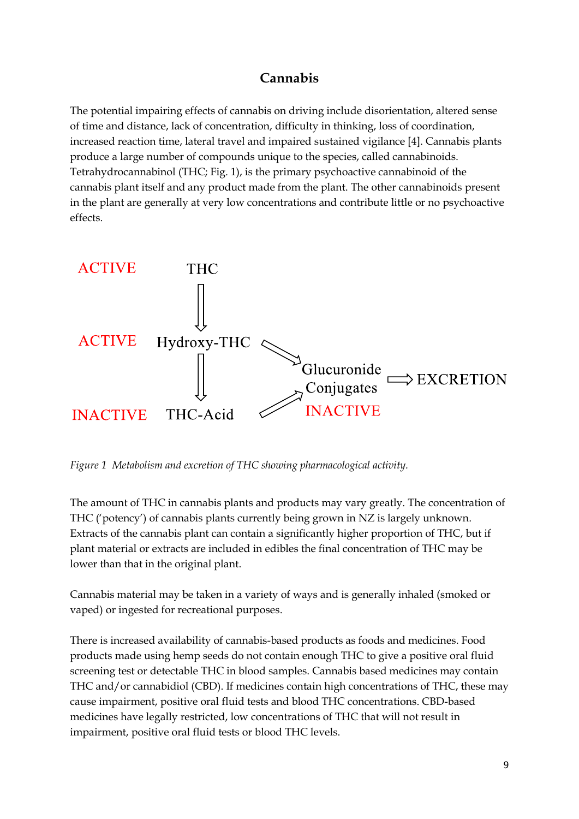## **Cannabis**

The potential impairing effects of cannabis on driving include disorientation, altered sense of time and distance, lack of concentration, difficulty in thinking, loss of coordination, increased reaction time, lateral travel and impaired sustained vigilance [4]. Cannabis plants produce a large number of compounds unique to the species, called cannabinoids. Tetrahydrocannabinol (THC; Fig. 1), is the primary psychoactive cannabinoid of the cannabis plant itself and any product made from the plant. The other cannabinoids present in the plant are generally at very low concentrations and contribute little or no psychoactive effects.



*Figure 1 Metabolism and excretion of THC showing pharmacological activity.* 

The amount of THC in cannabis plants and products may vary greatly. The concentration of THC ('potency') of cannabis plants currently being grown in NZ is largely unknown. Extracts of the cannabis plant can contain a significantly higher proportion of THC, but if plant material or extracts are included in edibles the final concentration of THC may be lower than that in the original plant.

Cannabis material may be taken in a variety of ways and is generally inhaled (smoked or vaped) or ingested for recreational purposes.

There is increased availability of cannabis-based products as foods and medicines. Food products made using hemp seeds do not contain enough THC to give a positive oral fluid screening test or detectable THC in blood samples. Cannabis based medicines may contain THC and/or cannabidiol (CBD). If medicines contain high concentrations of THC, these may cause impairment, positive oral fluid tests and blood THC concentrations. CBD-based medicines have legally restricted, low concentrations of THC that will not result in impairment, positive oral fluid tests or blood THC levels.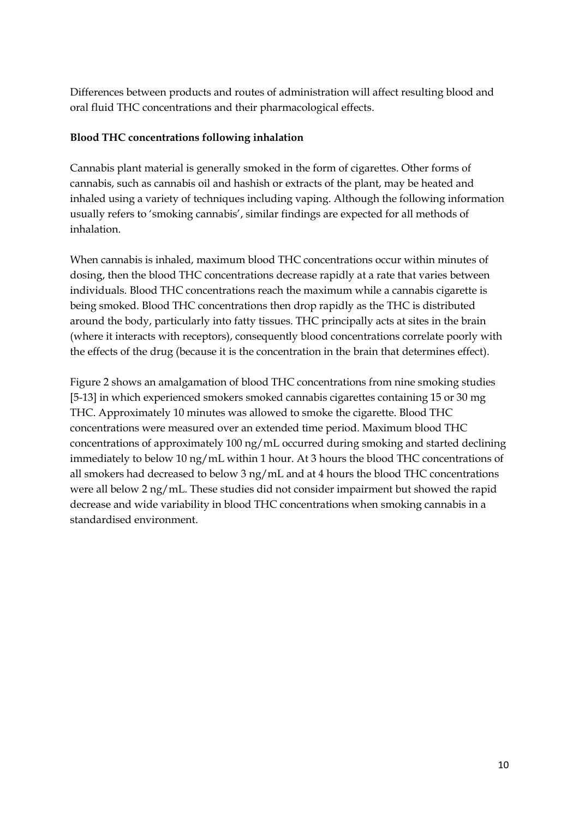Differences between products and routes of administration will affect resulting blood and oral fluid THC concentrations and their pharmacological effects.

#### **Blood THC concentrations following inhalation**

Cannabis plant material is generally smoked in the form of cigarettes. Other forms of cannabis, such as cannabis oil and hashish or extracts of the plant, may be heated and inhaled using a variety of techniques including vaping. Although the following information usually refers to 'smoking cannabis', similar findings are expected for all methods of inhalation.

When cannabis is inhaled, maximum blood THC concentrations occur within minutes of dosing, then the blood THC concentrations decrease rapidly at a rate that varies between individuals. Blood THC concentrations reach the maximum while a cannabis cigarette is being smoked. Blood THC concentrations then drop rapidly as the THC is distributed around the body, particularly into fatty tissues. THC principally acts at sites in the brain (where it interacts with receptors), consequently blood concentrations correlate poorly with the effects of the drug (because it is the concentration in the brain that determines effect).

Figure 2 shows an amalgamation of blood THC concentrations from nine smoking studies [5-13] in which experienced smokers smoked cannabis cigarettes containing 15 or 30 mg THC. Approximately 10 minutes was allowed to smoke the cigarette. Blood THC concentrations were measured over an extended time period. Maximum blood THC concentrations of approximately 100 ng/mL occurred during smoking and started declining immediately to below 10 ng/mL within 1 hour. At 3 hours the blood THC concentrations of all smokers had decreased to below 3 ng/mL and at 4 hours the blood THC concentrations were all below 2 ng/mL. These studies did not consider impairment but showed the rapid decrease and wide variability in blood THC concentrations when smoking cannabis in a standardised environment.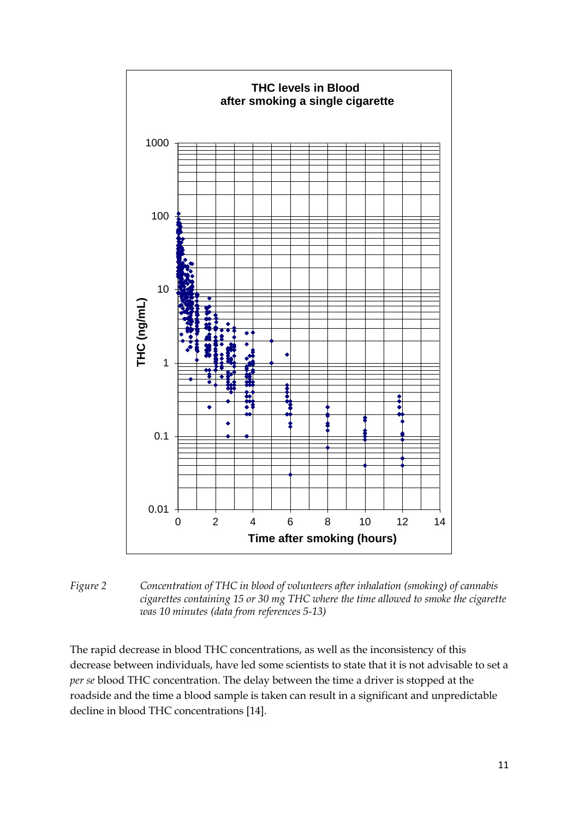

*Figure 2 Concentration of THC in blood of volunteers after inhalation (smoking) of cannabis cigarettes containing 15 or 30 mg THC where the time allowed to smoke the cigarette was 10 minutes (data from references 5-13)*

The rapid decrease in blood THC concentrations, as well as the inconsistency of this decrease between individuals, have led some scientists to state that it is not advisable to set a *per se* blood THC concentration. The delay between the time a driver is stopped at the roadside and the time a blood sample is taken can result in a significant and unpredictable decline in blood THC concentrations [14].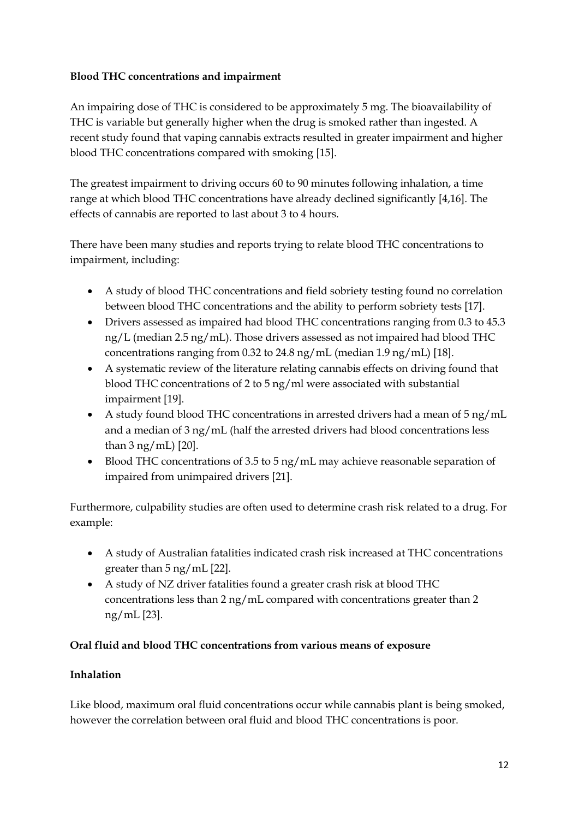#### **Blood THC concentrations and impairment**

An impairing dose of THC is considered to be approximately 5 mg. The bioavailability of THC is variable but generally higher when the drug is smoked rather than ingested. A recent study found that vaping cannabis extracts resulted in greater impairment and higher blood THC concentrations compared with smoking [15].

The greatest impairment to driving occurs 60 to 90 minutes following inhalation, a time range at which blood THC concentrations have already declined significantly [4,16]. The effects of cannabis are reported to last about 3 to 4 hours.

There have been many studies and reports trying to relate blood THC concentrations to impairment, including:

- A study of blood THC concentrations and field sobriety testing found no correlation between blood THC concentrations and the ability to perform sobriety tests [17].
- Drivers assessed as impaired had blood THC concentrations ranging from 0.3 to 45.3 ng/L (median 2.5 ng/mL). Those drivers assessed as not impaired had blood THC concentrations ranging from 0.32 to 24.8 ng/mL (median 1.9 ng/mL) [18].
- A systematic review of the literature relating cannabis effects on driving found that blood THC concentrations of 2 to 5 ng/ml were associated with substantial impairment [19].
- A study found blood THC concentrations in arrested drivers had a mean of  $5 \text{ ng/mL}$ and a median of 3 ng/mL (half the arrested drivers had blood concentrations less than 3 ng/mL) [20].
- Blood THC concentrations of 3.5 to 5 ng/mL may achieve reasonable separation of impaired from unimpaired drivers [21].

Furthermore, culpability studies are often used to determine crash risk related to a drug. For example:

- A study of Australian fatalities indicated crash risk increased at THC concentrations greater than 5 ng/mL [22].
- A study of NZ driver fatalities found a greater crash risk at blood THC concentrations less than 2 ng/mL compared with concentrations greater than 2 ng/mL [23].

## **Oral fluid and blood THC concentrations from various means of exposure**

## **Inhalation**

Like blood, maximum oral fluid concentrations occur while cannabis plant is being smoked, however the correlation between oral fluid and blood THC concentrations is poor.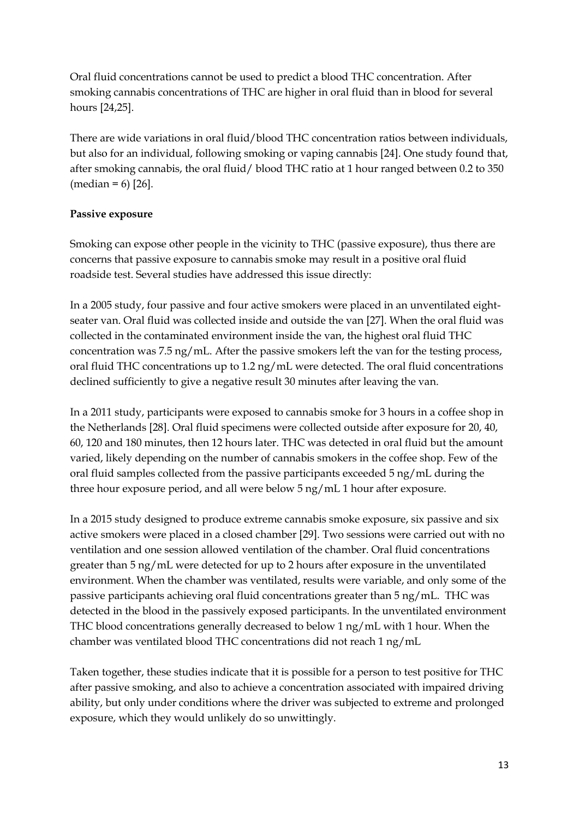Oral fluid concentrations cannot be used to predict a blood THC concentration. After smoking cannabis concentrations of THC are higher in oral fluid than in blood for several hours [24,25].

There are wide variations in oral fluid/blood THC concentration ratios between individuals, but also for an individual, following smoking or vaping cannabis [24]. One study found that, after smoking cannabis, the oral fluid/ blood THC ratio at 1 hour ranged between 0.2 to 350  $(median = 6)$  [26].

### **Passive exposure**

Smoking can expose other people in the vicinity to THC (passive exposure), thus there are concerns that passive exposure to cannabis smoke may result in a positive oral fluid roadside test. Several studies have addressed this issue directly:

In a 2005 study, four passive and four active smokers were placed in an unventilated eightseater van. Oral fluid was collected inside and outside the van [27]. When the oral fluid was collected in the contaminated environment inside the van, the highest oral fluid THC concentration was 7.5 ng/mL. After the passive smokers left the van for the testing process, oral fluid THC concentrations up to 1.2 ng/mL were detected. The oral fluid concentrations declined sufficiently to give a negative result 30 minutes after leaving the van.

In a 2011 study, participants were exposed to cannabis smoke for 3 hours in a coffee shop in the Netherlands [28]. Oral fluid specimens were collected outside after exposure for 20, 40, 60, 120 and 180 minutes, then 12 hours later. THC was detected in oral fluid but the amount varied, likely depending on the number of cannabis smokers in the coffee shop. Few of the oral fluid samples collected from the passive participants exceeded 5 ng/mL during the three hour exposure period, and all were below 5 ng/mL 1 hour after exposure.

In a 2015 study designed to produce extreme cannabis smoke exposure, six passive and six active smokers were placed in a closed chamber [29]. Two sessions were carried out with no ventilation and one session allowed ventilation of the chamber. Oral fluid concentrations greater than 5 ng/mL were detected for up to 2 hours after exposure in the unventilated environment. When the chamber was ventilated, results were variable, and only some of the passive participants achieving oral fluid concentrations greater than 5 ng/mL. THC was detected in the blood in the passively exposed participants. In the unventilated environment THC blood concentrations generally decreased to below 1 ng/mL with 1 hour. When the chamber was ventilated blood THC concentrations did not reach 1 ng/mL

Taken together, these studies indicate that it is possible for a person to test positive for THC after passive smoking, and also to achieve a concentration associated with impaired driving ability, but only under conditions where the driver was subjected to extreme and prolonged exposure, which they would unlikely do so unwittingly.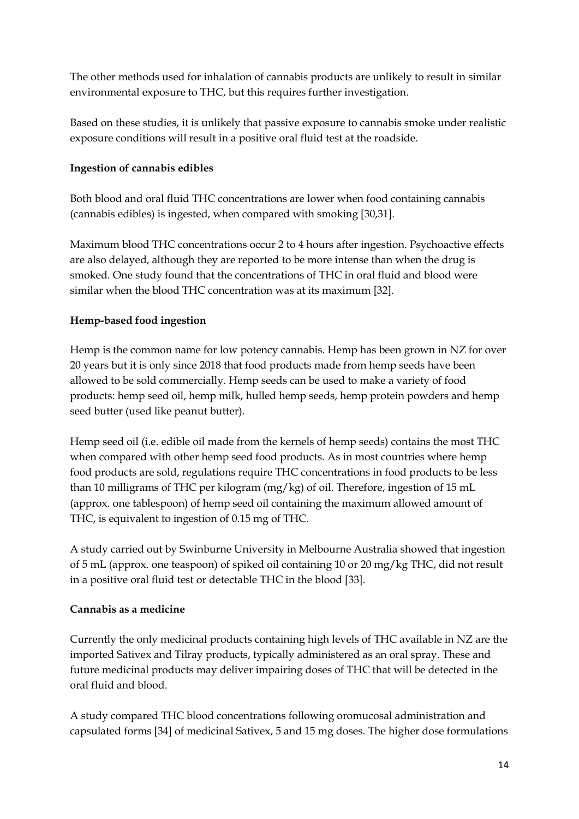The other methods used for inhalation of cannabis products are unlikely to result in similar environmental exposure to THC, but this requires further investigation.

Based on these studies, it is unlikely that passive exposure to cannabis smoke under realistic exposure conditions will result in a positive oral fluid test at the roadside.

### **Ingestion of cannabis edibles**

Both blood and oral fluid THC concentrations are lower when food containing cannabis (cannabis edibles) is ingested, when compared with smoking [30,31].

Maximum blood THC concentrations occur 2 to 4 hours after ingestion. Psychoactive effects are also delayed, although they are reported to be more intense than when the drug is smoked. One study found that the concentrations of THC in oral fluid and blood were similar when the blood THC concentration was at its maximum [32].

## **Hemp-based food ingestion**

Hemp is the common name for low potency cannabis. Hemp has been grown in NZ for over 20 years but it is only since 2018 that food products made from hemp seeds have been allowed to be sold commercially. Hemp seeds can be used to make a variety of food products: hemp seed oil, hemp milk, hulled hemp seeds, hemp protein powders and hemp seed butter (used like peanut butter).

Hemp seed oil (i.e. edible oil made from the kernels of hemp seeds) contains the most THC when compared with other hemp seed food products. As in most countries where hemp food products are sold, regulations require THC concentrations in food products to be less than 10 milligrams of THC per kilogram (mg/kg) of oil. Therefore, ingestion of 15 mL (approx. one tablespoon) of hemp seed oil containing the maximum allowed amount of THC, is equivalent to ingestion of 0.15 mg of THC.

A study carried out by Swinburne University in Melbourne Australia showed that ingestion of 5 mL (approx. one teaspoon) of spiked oil containing 10 or 20 mg/kg THC, did not result in a positive oral fluid test or detectable THC in the blood [33].

#### **Cannabis as a medicine**

Currently the only medicinal products containing high levels of THC available in NZ are the imported Sativex and Tilray products, typically administered as an oral spray. These and future medicinal products may deliver impairing doses of THC that will be detected in the oral fluid and blood.

A study compared THC blood concentrations following oromucosal administration and capsulated forms [34] of medicinal Sativex, 5 and 15 mg doses. The higher dose formulations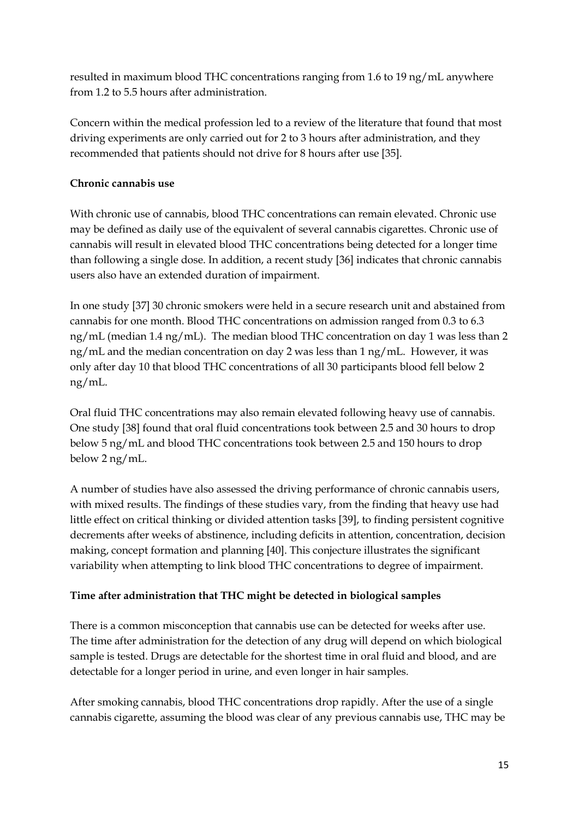resulted in maximum blood THC concentrations ranging from 1.6 to 19 ng/mL anywhere from 1.2 to 5.5 hours after administration.

Concern within the medical profession led to a review of the literature that found that most driving experiments are only carried out for 2 to 3 hours after administration, and they recommended that patients should not drive for 8 hours after use [35].

## **Chronic cannabis use**

With chronic use of cannabis, blood THC concentrations can remain elevated. Chronic use may be defined as daily use of the equivalent of several cannabis cigarettes. Chronic use of cannabis will result in elevated blood THC concentrations being detected for a longer time than following a single dose. In addition, a recent study [36] indicates that chronic cannabis users also have an extended duration of impairment.

In one study [37] 30 chronic smokers were held in a secure research unit and abstained from cannabis for one month. Blood THC concentrations on admission ranged from 0.3 to 6.3 ng/mL (median 1.4 ng/mL). The median blood THC concentration on day 1 was less than 2 ng/mL and the median concentration on day 2 was less than 1 ng/mL. However, it was only after day 10 that blood THC concentrations of all 30 participants blood fell below 2 ng/mL.

Oral fluid THC concentrations may also remain elevated following heavy use of cannabis. One study [38] found that oral fluid concentrations took between 2.5 and 30 hours to drop below 5 ng/mL and blood THC concentrations took between 2.5 and 150 hours to drop below 2 ng/mL.

A number of studies have also assessed the driving performance of chronic cannabis users, with mixed results. The findings of these studies vary, from the finding that heavy use had little effect on critical thinking or divided attention tasks [39], to finding persistent cognitive decrements after weeks of abstinence, including deficits in attention, concentration, decision making, concept formation and planning [40]. This conjecture illustrates the significant variability when attempting to link blood THC concentrations to degree of impairment.

## **Time after administration that THC might be detected in biological samples**

There is a common misconception that cannabis use can be detected for weeks after use. The time after administration for the detection of any drug will depend on which biological sample is tested. Drugs are detectable for the shortest time in oral fluid and blood, and are detectable for a longer period in urine, and even longer in hair samples.

After smoking cannabis, blood THC concentrations drop rapidly. After the use of a single cannabis cigarette, assuming the blood was clear of any previous cannabis use, THC may be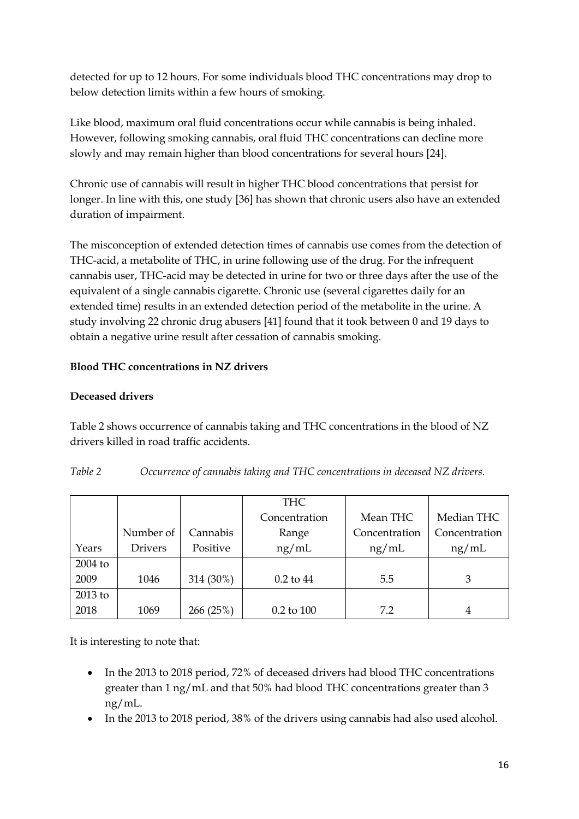detected for up to 12 hours. For some individuals blood THC concentrations may drop to below detection limits within a few hours of smoking.

Like blood, maximum oral fluid concentrations occur while cannabis is being inhaled. However, following smoking cannabis, oral fluid THC concentrations can decline more slowly and may remain higher than blood concentrations for several hours [24].

Chronic use of cannabis will result in higher THC blood concentrations that persist for longer. In line with this, one study [36] has shown that chronic users also have an extended duration of impairment.

The misconception of extended detection times of cannabis use comes from the detection of THC-acid, a metabolite of THC, in urine following use of the drug. For the infrequent cannabis user, THC-acid may be detected in urine for two or three days after the use of the equivalent of a single cannabis cigarette. Chronic use (several cigarettes daily for an extended time) results in an extended detection period of the metabolite in the urine. A study involving 22 chronic drug abusers [41] found that it took between 0 and 19 days to obtain a negative urine result after cessation of cannabis smoking.

### **Blood THC concentrations in NZ drivers**

### **Deceased drivers**

Table 2 shows occurrence of cannabis taking and THC concentrations in the blood of NZ drivers killed in road traffic accidents.

| Table 2 | Occurrence of cannabis taking and THC concentrations in deceased NZ drivers. |
|---------|------------------------------------------------------------------------------|
|---------|------------------------------------------------------------------------------|

|           |                |           | <b>THC</b>     |               |               |
|-----------|----------------|-----------|----------------|---------------|---------------|
|           |                |           | Concentration  | Mean THC      | Median THC    |
|           | Number of      | Cannabis  | Range          | Concentration | Concentration |
| Years     | <b>Drivers</b> | Positive  | ng/mL          | ng/mL         | ng/mL         |
| $2004$ to |                |           |                |               |               |
| 2009      | 1046           | 314 (30%) | $0.2$ to $44$  | 5.5           | 3             |
| 2013 to   |                |           |                |               |               |
| 2018      | 1069           | 266 (25%) | $0.2$ to $100$ | 7.2           | 4             |

It is interesting to note that:

- In the 2013 to 2018 period, 72% of deceased drivers had blood THC concentrations greater than 1 ng/mL and that 50% had blood THC concentrations greater than 3 ng/mL.
- In the 2013 to 2018 period, 38% of the drivers using cannabis had also used alcohol.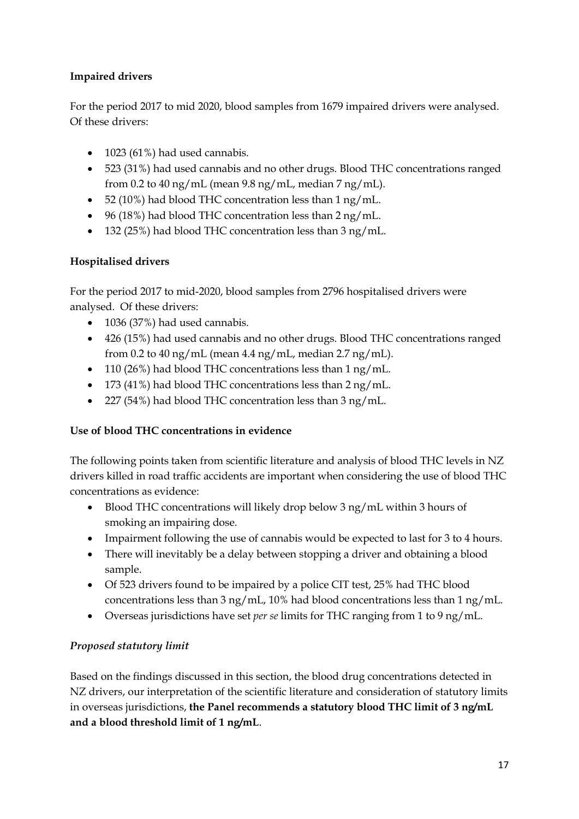## **Impaired drivers**

For the period 2017 to mid 2020, blood samples from 1679 impaired drivers were analysed. Of these drivers:

- $\bullet$  1023 (61%) had used cannabis.
- 523 (31%) had used cannabis and no other drugs. Blood THC concentrations ranged from 0.2 to 40 ng/mL (mean 9.8 ng/mL, median  $7 \text{ ng/mL}$ ).
- 52 (10%) had blood THC concentration less than 1 ng/mL.
- $\bullet$  96 (18%) had blood THC concentration less than 2 ng/mL.
- 132 (25%) had blood THC concentration less than 3 ng/mL.

### **Hospitalised drivers**

For the period 2017 to mid-2020, blood samples from 2796 hospitalised drivers were analysed. Of these drivers:

- 1036 (37%) had used cannabis.
- 426 (15%) had used cannabis and no other drugs. Blood THC concentrations ranged from 0.2 to 40 ng/mL (mean 4.4 ng/mL, median  $2.7 \text{ ng/mL}$ ).
- 110 (26%) had blood THC concentrations less than 1 ng/mL.
- 173 (41%) had blood THC concentrations less than 2 ng/mL.
- 227 (54%) had blood THC concentration less than 3 ng/mL.

## **Use of blood THC concentrations in evidence**

The following points taken from scientific literature and analysis of blood THC levels in NZ drivers killed in road traffic accidents are important when considering the use of blood THC concentrations as evidence:

- Blood THC concentrations will likely drop below 3 ng/mL within 3 hours of smoking an impairing dose.
- Impairment following the use of cannabis would be expected to last for 3 to 4 hours.
- There will inevitably be a delay between stopping a driver and obtaining a blood sample.
- Of 523 drivers found to be impaired by a police CIT test, 25% had THC blood concentrations less than 3 ng/mL, 10% had blood concentrations less than 1 ng/mL.
- Overseas jurisdictions have set *per se* limits for THC ranging from 1 to 9 ng/mL.

## *Proposed statutory limit*

Based on the findings discussed in this section, the blood drug concentrations detected in NZ drivers, our interpretation of the scientific literature and consideration of statutory limits in overseas jurisdictions, **the Panel recommends a statutory blood THC limit of 3 ng/mL and a blood threshold limit of 1 ng/mL**.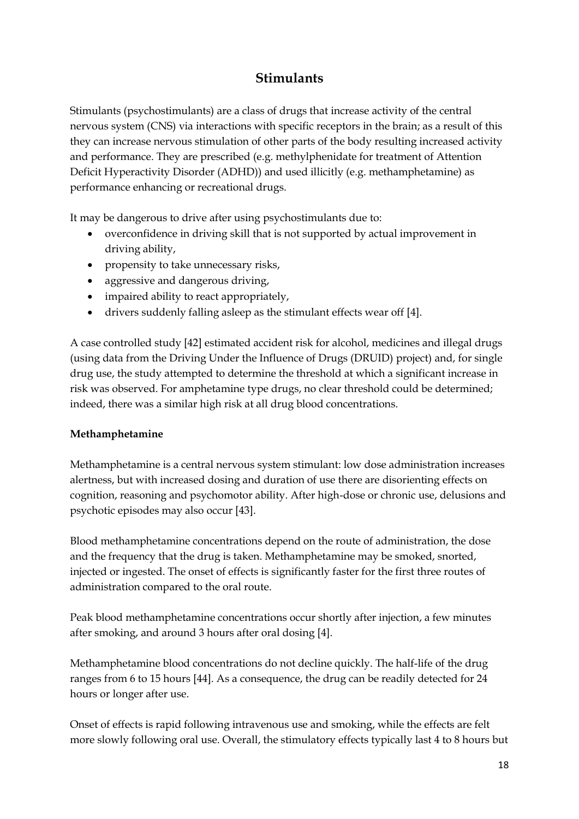## **Stimulants**

Stimulants (psychostimulants) are a class of drugs that increase activity of the central nervous system (CNS) via interactions with specific receptors in the brain; as a result of this they can increase nervous stimulation of other parts of the body resulting increased activity and performance. They are prescribed (e.g. methylphenidate for treatment of Attention Deficit Hyperactivity Disorder (ADHD)) and used illicitly (e.g. methamphetamine) as performance enhancing or recreational drugs.

It may be dangerous to drive after using psychostimulants due to:

- overconfidence in driving skill that is not supported by actual improvement in driving ability,
- propensity to take unnecessary risks,
- aggressive and dangerous driving,
- impaired ability to react appropriately,
- drivers suddenly falling asleep as the stimulant effects wear off [4].

A case controlled study [42] estimated accident risk for alcohol, medicines and illegal drugs (using data from the Driving Under the Influence of Drugs (DRUID) project) and, for single drug use, the study attempted to determine the threshold at which a significant increase in risk was observed. For amphetamine type drugs, no clear threshold could be determined; indeed, there was a similar high risk at all drug blood concentrations.

## **Methamphetamine**

Methamphetamine is a central nervous system stimulant: low dose administration increases alertness, but with increased dosing and duration of use there are disorienting effects on cognition, reasoning and psychomotor ability. After high-dose or chronic use, delusions and psychotic episodes may also occur [43].

Blood methamphetamine concentrations depend on the route of administration, the dose and the frequency that the drug is taken. Methamphetamine may be smoked, snorted, injected or ingested. The onset of effects is significantly faster for the first three routes of administration compared to the oral route.

Peak blood methamphetamine concentrations occur shortly after injection, a few minutes after smoking, and around 3 hours after oral dosing [4].

Methamphetamine blood concentrations do not decline quickly. The half-life of the drug ranges from 6 to 15 hours [44]. As a consequence, the drug can be readily detected for 24 hours or longer after use.

Onset of effects is rapid following intravenous use and smoking, while the effects are felt more slowly following oral use. Overall, the stimulatory effects typically last 4 to 8 hours but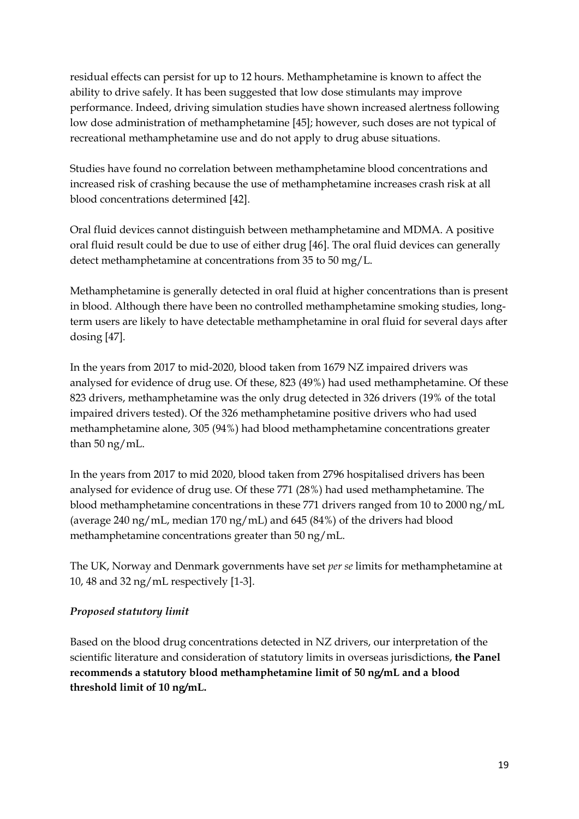residual effects can persist for up to 12 hours. Methamphetamine is known to affect the ability to drive safely. It has been suggested that low dose stimulants may improve performance. Indeed, driving simulation studies have shown increased alertness following low dose administration of methamphetamine [45]; however, such doses are not typical of recreational methamphetamine use and do not apply to drug abuse situations.

Studies have found no correlation between methamphetamine blood concentrations and increased risk of crashing because the use of methamphetamine increases crash risk at all blood concentrations determined [42].

Oral fluid devices cannot distinguish between methamphetamine and MDMA. A positive oral fluid result could be due to use of either drug [46]. The oral fluid devices can generally detect methamphetamine at concentrations from 35 to 50 mg/L.

Methamphetamine is generally detected in oral fluid at higher concentrations than is present in blood. Although there have been no controlled methamphetamine smoking studies, longterm users are likely to have detectable methamphetamine in oral fluid for several days after dosing [47].

In the years from 2017 to mid-2020, blood taken from 1679 NZ impaired drivers was analysed for evidence of drug use. Of these, 823 (49%) had used methamphetamine. Of these 823 drivers, methamphetamine was the only drug detected in 326 drivers (19% of the total impaired drivers tested). Of the 326 methamphetamine positive drivers who had used methamphetamine alone, 305 (94%) had blood methamphetamine concentrations greater than 50 ng/mL.

In the years from 2017 to mid 2020, blood taken from 2796 hospitalised drivers has been analysed for evidence of drug use. Of these 771 (28%) had used methamphetamine. The blood methamphetamine concentrations in these 771 drivers ranged from 10 to 2000 ng/mL (average 240 ng/mL, median  $170 \text{ ng/mL}$ ) and 645 (84%) of the drivers had blood methamphetamine concentrations greater than 50 ng/mL.

The UK, Norway and Denmark governments have set *per se* limits for methamphetamine at 10, 48 and 32 ng/mL respectively [1-3].

## *Proposed statutory limit*

Based on the blood drug concentrations detected in NZ drivers, our interpretation of the scientific literature and consideration of statutory limits in overseas jurisdictions, **the Panel recommends a statutory blood methamphetamine limit of 50 ng/mL and a blood threshold limit of 10 ng/mL.**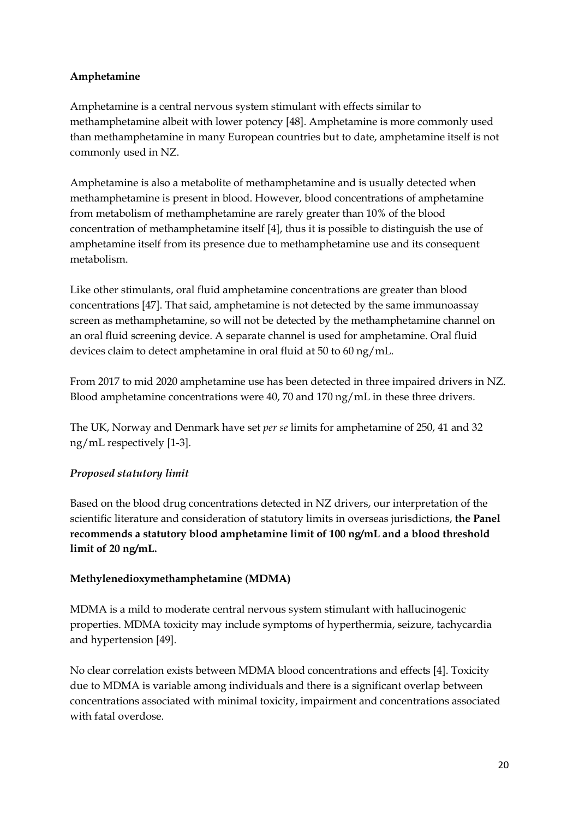#### **Amphetamine**

Amphetamine is a central nervous system stimulant with effects similar to methamphetamine albeit with lower potency [48]. Amphetamine is more commonly used than methamphetamine in many European countries but to date, amphetamine itself is not commonly used in NZ.

Amphetamine is also a metabolite of methamphetamine and is usually detected when methamphetamine is present in blood. However, blood concentrations of amphetamine from metabolism of methamphetamine are rarely greater than 10% of the blood concentration of methamphetamine itself [4], thus it is possible to distinguish the use of amphetamine itself from its presence due to methamphetamine use and its consequent metabolism.

Like other stimulants, oral fluid amphetamine concentrations are greater than blood concentrations [47]. That said, amphetamine is not detected by the same immunoassay screen as methamphetamine, so will not be detected by the methamphetamine channel on an oral fluid screening device. A separate channel is used for amphetamine. Oral fluid devices claim to detect amphetamine in oral fluid at 50 to 60 ng/mL.

From 2017 to mid 2020 amphetamine use has been detected in three impaired drivers in NZ. Blood amphetamine concentrations were 40, 70 and 170 ng/mL in these three drivers.

The UK, Norway and Denmark have set *per se* limits for amphetamine of 250, 41 and 32 ng/mL respectively [1-3].

## *Proposed statutory limit*

Based on the blood drug concentrations detected in NZ drivers, our interpretation of the scientific literature and consideration of statutory limits in overseas jurisdictions, **the Panel recommends a statutory blood amphetamine limit of 100 ng/mL and a blood threshold limit of 20 ng/mL.**

#### **Methylenedioxymethamphetamine (MDMA)**

MDMA is a mild to moderate central nervous system stimulant with hallucinogenic properties. MDMA toxicity may include symptoms of hyperthermia, seizure, tachycardia and hypertension [49].

No clear correlation exists between MDMA blood concentrations and effects [4]. Toxicity due to MDMA is variable among individuals and there is a significant overlap between concentrations associated with minimal toxicity, impairment and concentrations associated with fatal overdose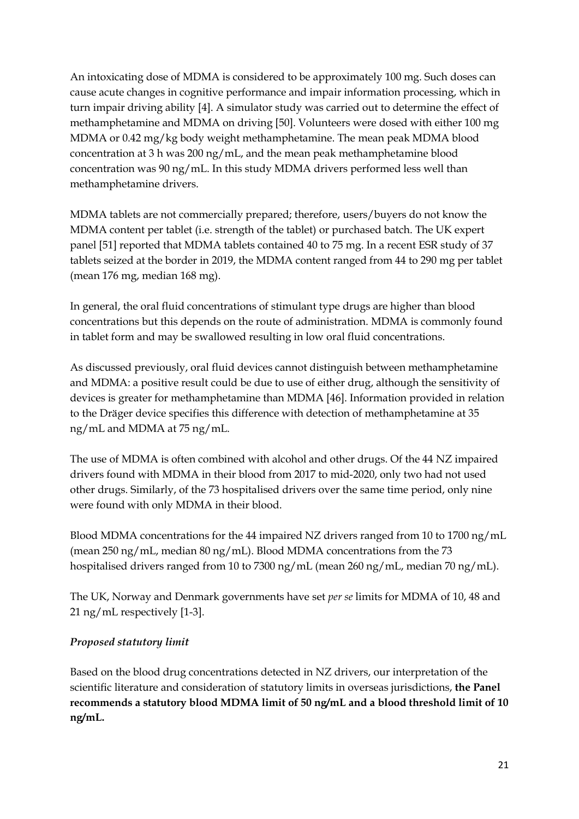An intoxicating dose of MDMA is considered to be approximately 100 mg. Such doses can cause acute changes in cognitive performance and impair information processing, which in turn impair driving ability [4]. A simulator study was carried out to determine the effect of methamphetamine and MDMA on driving [50]. Volunteers were dosed with either 100 mg MDMA or 0.42 mg/kg body weight methamphetamine. The mean peak MDMA blood concentration at 3 h was 200 ng/mL, and the mean peak methamphetamine blood concentration was 90 ng/mL. In this study MDMA drivers performed less well than methamphetamine drivers.

MDMA tablets are not commercially prepared; therefore, users/buyers do not know the MDMA content per tablet (i.e. strength of the tablet) or purchased batch. The UK expert panel [51] reported that MDMA tablets contained 40 to 75 mg. In a recent ESR study of 37 tablets seized at the border in 2019, the MDMA content ranged from 44 to 290 mg per tablet (mean 176 mg, median 168 mg).

In general, the oral fluid concentrations of stimulant type drugs are higher than blood concentrations but this depends on the route of administration. MDMA is commonly found in tablet form and may be swallowed resulting in low oral fluid concentrations.

As discussed previously, oral fluid devices cannot distinguish between methamphetamine and MDMA: a positive result could be due to use of either drug, although the sensitivity of devices is greater for methamphetamine than MDMA [46]. Information provided in relation to the Dräger device specifies this difference with detection of methamphetamine at 35 ng/mL and MDMA at 75 ng/mL.

The use of MDMA is often combined with alcohol and other drugs. Of the 44 NZ impaired drivers found with MDMA in their blood from 2017 to mid-2020, only two had not used other drugs. Similarly, of the 73 hospitalised drivers over the same time period, only nine were found with only MDMA in their blood.

Blood MDMA concentrations for the 44 impaired NZ drivers ranged from 10 to 1700 ng/mL (mean 250 ng/mL, median 80 ng/mL). Blood MDMA concentrations from the 73 hospitalised drivers ranged from 10 to 7300 ng/mL (mean 260 ng/mL, median 70 ng/mL).

The UK, Norway and Denmark governments have set *per se* limits for MDMA of 10, 48 and 21 ng/mL respectively [1-3].

## *Proposed statutory limit*

Based on the blood drug concentrations detected in NZ drivers, our interpretation of the scientific literature and consideration of statutory limits in overseas jurisdictions, **the Panel recommends a statutory blood MDMA limit of 50 ng/mL and a blood threshold limit of 10 ng/mL.**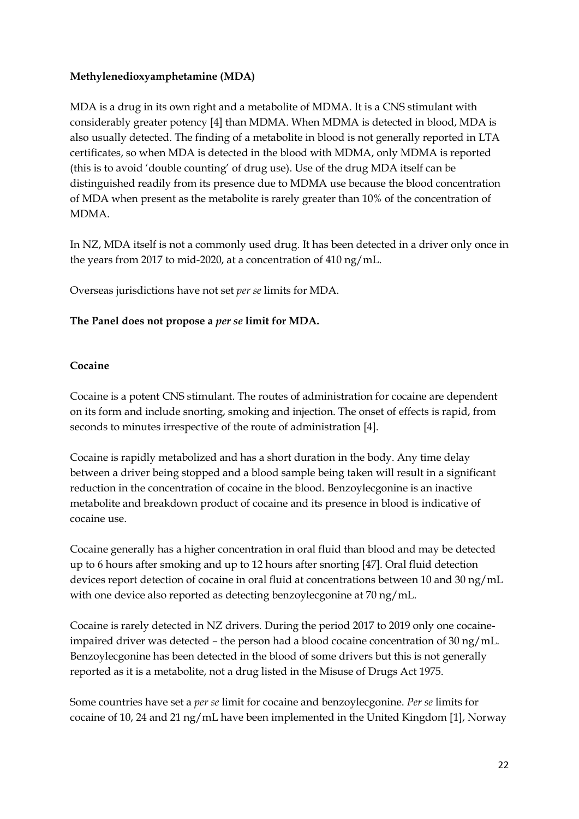#### **Methylenedioxyamphetamine (MDA)**

MDA is a drug in its own right and a metabolite of MDMA. It is a CNS stimulant with considerably greater potency [4] than MDMA. When MDMA is detected in blood, MDA is also usually detected. The finding of a metabolite in blood is not generally reported in LTA certificates, so when MDA is detected in the blood with MDMA, only MDMA is reported (this is to avoid 'double counting' of drug use). Use of the drug MDA itself can be distinguished readily from its presence due to MDMA use because the blood concentration of MDA when present as the metabolite is rarely greater than 10% of the concentration of MDMA.

In NZ, MDA itself is not a commonly used drug. It has been detected in a driver only once in the years from 2017 to mid-2020, at a concentration of 410 ng/mL.

Overseas jurisdictions have not set *per se* limits for MDA.

### **The Panel does not propose a** *per se* **limit for MDA.**

#### **Cocaine**

Cocaine is a potent CNS stimulant. The routes of administration for cocaine are dependent on its form and include snorting, smoking and injection. The onset of effects is rapid, from seconds to minutes irrespective of the route of administration [4].

Cocaine is rapidly metabolized and has a short duration in the body. Any time delay between a driver being stopped and a blood sample being taken will result in a significant reduction in the concentration of cocaine in the blood. Benzoylecgonine is an inactive metabolite and breakdown product of cocaine and its presence in blood is indicative of cocaine use.

Cocaine generally has a higher concentration in oral fluid than blood and may be detected up to 6 hours after smoking and up to 12 hours after snorting [47]. Oral fluid detection devices report detection of cocaine in oral fluid at concentrations between 10 and 30 ng/mL with one device also reported as detecting benzoylecgonine at 70 ng/mL.

Cocaine is rarely detected in NZ drivers. During the period 2017 to 2019 only one cocaineimpaired driver was detected – the person had a blood cocaine concentration of 30 ng/mL. Benzoylecgonine has been detected in the blood of some drivers but this is not generally reported as it is a metabolite, not a drug listed in the Misuse of Drugs Act 1975.

Some countries have set a *per se* limit for cocaine and benzoylecgonine. *Per se* limits for cocaine of 10, 24 and 21 ng/mL have been implemented in the United Kingdom [1], Norway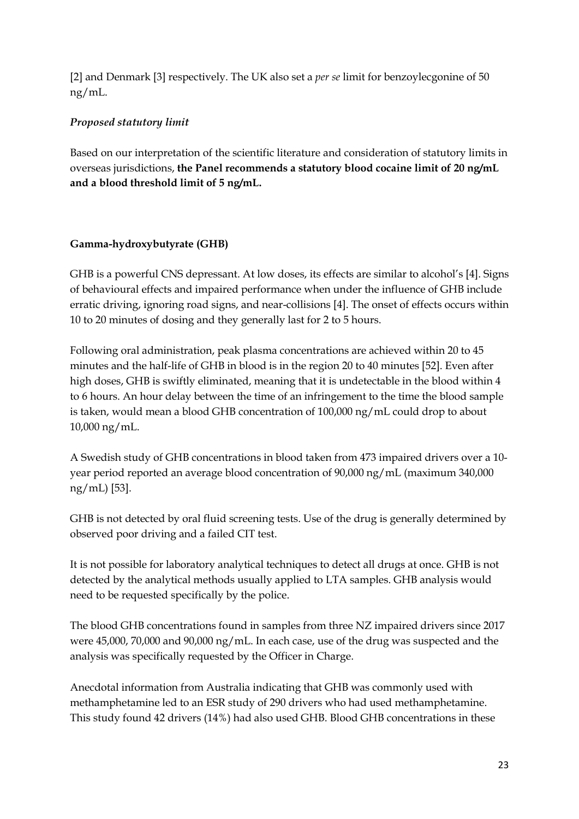[2] and Denmark [3] respectively. The UK also set a *per se* limit for benzoylecgonine of 50 ng/mL.

## *Proposed statutory limit*

Based on our interpretation of the scientific literature and consideration of statutory limits in overseas jurisdictions, **the Panel recommends a statutory blood cocaine limit of 20 ng/mL and a blood threshold limit of 5 ng/mL.**

### **Gamma-hydroxybutyrate (GHB)**

GHB is a powerful CNS depressant. At low doses, its effects are similar to alcohol's [4]. Signs of behavioural effects and impaired performance when under the influence of GHB include erratic driving, ignoring road signs, and near-collisions [4]. The onset of effects occurs within 10 to 20 minutes of dosing and they generally last for 2 to 5 hours.

Following oral administration, peak plasma concentrations are achieved within 20 to 45 minutes and the half-life of GHB in blood is in the region 20 to 40 minutes [52]. Even after high doses, GHB is swiftly eliminated, meaning that it is undetectable in the blood within 4 to 6 hours. An hour delay between the time of an infringement to the time the blood sample is taken, would mean a blood GHB concentration of 100,000 ng/mL could drop to about 10,000 ng/mL.

A Swedish study of GHB concentrations in blood taken from 473 impaired drivers over a 10 year period reported an average blood concentration of 90,000 ng/mL (maximum 340,000 ng/mL) [53].

GHB is not detected by oral fluid screening tests. Use of the drug is generally determined by observed poor driving and a failed CIT test.

It is not possible for laboratory analytical techniques to detect all drugs at once. GHB is not detected by the analytical methods usually applied to LTA samples. GHB analysis would need to be requested specifically by the police.

The blood GHB concentrations found in samples from three NZ impaired drivers since 2017 were 45,000, 70,000 and 90,000 ng/mL. In each case, use of the drug was suspected and the analysis was specifically requested by the Officer in Charge.

Anecdotal information from Australia indicating that GHB was commonly used with methamphetamine led to an ESR study of 290 drivers who had used methamphetamine. This study found 42 drivers (14%) had also used GHB. Blood GHB concentrations in these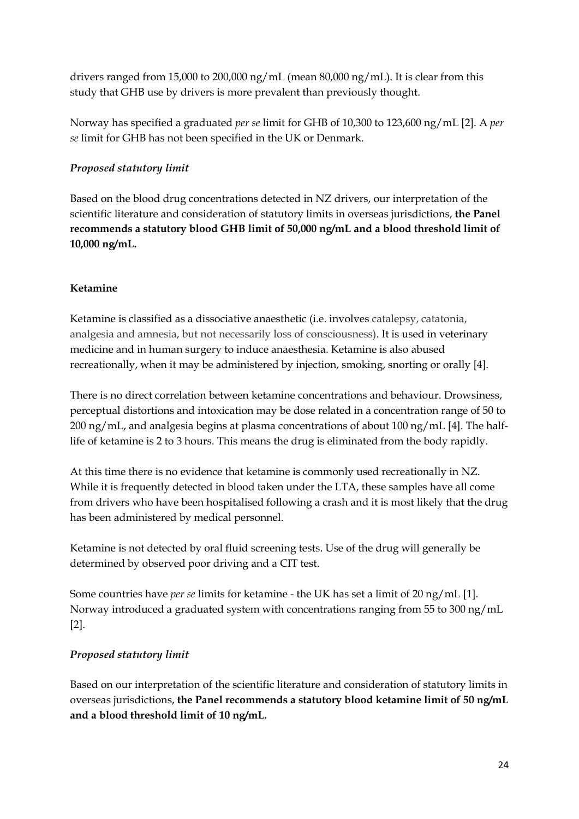drivers ranged from 15,000 to 200,000 ng/mL (mean 80,000 ng/mL). It is clear from this study that GHB use by drivers is more prevalent than previously thought.

Norway has specified a graduated *per se* limit for GHB of 10,300 to 123,600 ng/mL [2]. A *per se* limit for GHB has not been specified in the UK or Denmark.

## *Proposed statutory limit*

Based on the blood drug concentrations detected in NZ drivers, our interpretation of the scientific literature and consideration of statutory limits in overseas jurisdictions, **the Panel recommends a statutory blood GHB limit of 50,000 ng/mL and a blood threshold limit of 10,000 ng/mL.**

#### **Ketamine**

Ketamine is classified as a dissociative anaesthetic (i.e. involves catalepsy, catatonia, analgesia and amnesia, but not necessarily loss of consciousness). It is used in veterinary medicine and in human surgery to induce anaesthesia. Ketamine is also abused recreationally, when it may be administered by injection, smoking, snorting or orally [4].

There is no direct correlation between ketamine concentrations and behaviour. Drowsiness, perceptual distortions and intoxication may be dose related in a concentration range of 50 to 200 ng/mL, and analgesia begins at plasma concentrations of about 100 ng/mL [4]. The halflife of ketamine is 2 to 3 hours. This means the drug is eliminated from the body rapidly.

At this time there is no evidence that ketamine is commonly used recreationally in NZ. While it is frequently detected in blood taken under the LTA, these samples have all come from drivers who have been hospitalised following a crash and it is most likely that the drug has been administered by medical personnel.

Ketamine is not detected by oral fluid screening tests. Use of the drug will generally be determined by observed poor driving and a CIT test.

Some countries have *per se* limits for ketamine - the UK has set a limit of 20 ng/mL [1]. Norway introduced a graduated system with concentrations ranging from 55 to 300 ng/mL [2].

#### *Proposed statutory limit*

Based on our interpretation of the scientific literature and consideration of statutory limits in overseas jurisdictions, **the Panel recommends a statutory blood ketamine limit of 50 ng/mL and a blood threshold limit of 10 ng/mL.**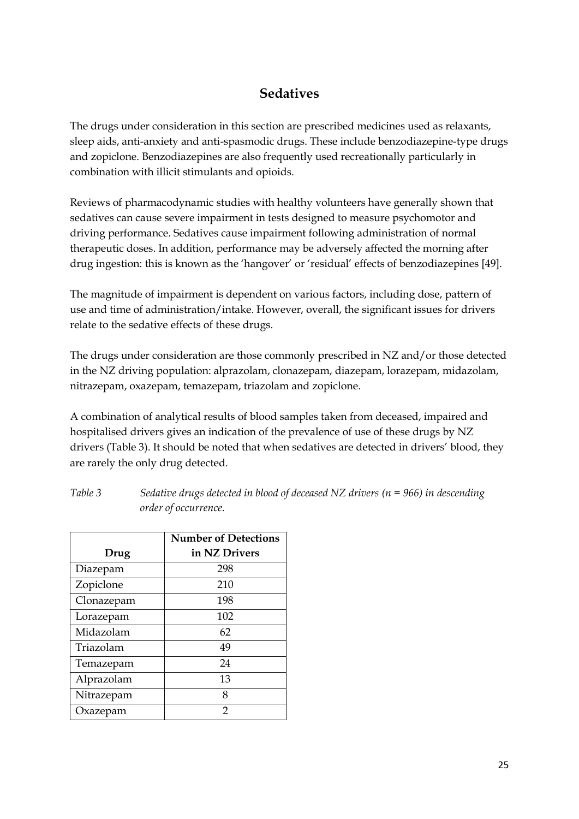## **Sedatives**

The drugs under consideration in this section are prescribed medicines used as relaxants, sleep aids, anti-anxiety and anti-spasmodic drugs. These include benzodiazepine-type drugs and zopiclone. Benzodiazepines are also frequently used recreationally particularly in combination with illicit stimulants and opioids.

Reviews of pharmacodynamic studies with healthy volunteers have generally shown that sedatives can cause severe impairment in tests designed to measure psychomotor and driving performance. Sedatives cause impairment following administration of normal therapeutic doses. In addition, performance may be adversely affected the morning after drug ingestion: this is known as the 'hangover' or 'residual' effects of benzodiazepines [49].

The magnitude of impairment is dependent on various factors, including dose, pattern of use and time of administration/intake. However, overall, the significant issues for drivers relate to the sedative effects of these drugs.

The drugs under consideration are those commonly prescribed in NZ and/or those detected in the NZ driving population: alprazolam, clonazepam, diazepam, lorazepam, midazolam, nitrazepam, oxazepam, temazepam, triazolam and zopiclone.

A combination of analytical results of blood samples taken from deceased, impaired and hospitalised drivers gives an indication of the prevalence of use of these drugs by NZ drivers (Table 3). It should be noted that when sedatives are detected in drivers' blood, they are rarely the only drug detected.

|            | <b>Number of Detections</b> |  |  |
|------------|-----------------------------|--|--|
| Drug       | in NZ Drivers               |  |  |
| Diazepam   | 298                         |  |  |
| Zopiclone  | 210                         |  |  |
| Clonazepam | 198                         |  |  |
| Lorazepam  | 102                         |  |  |
| Midazolam  | 62                          |  |  |
| Triazolam  | 49                          |  |  |
| Temazepam  | 24                          |  |  |
| Alprazolam | 13                          |  |  |
| Nitrazepam | 8                           |  |  |
| Oxazepam   | 2                           |  |  |

*Table 3 Sedative drugs detected in blood of deceased NZ drivers (n = 966) in descending order of occurrence.*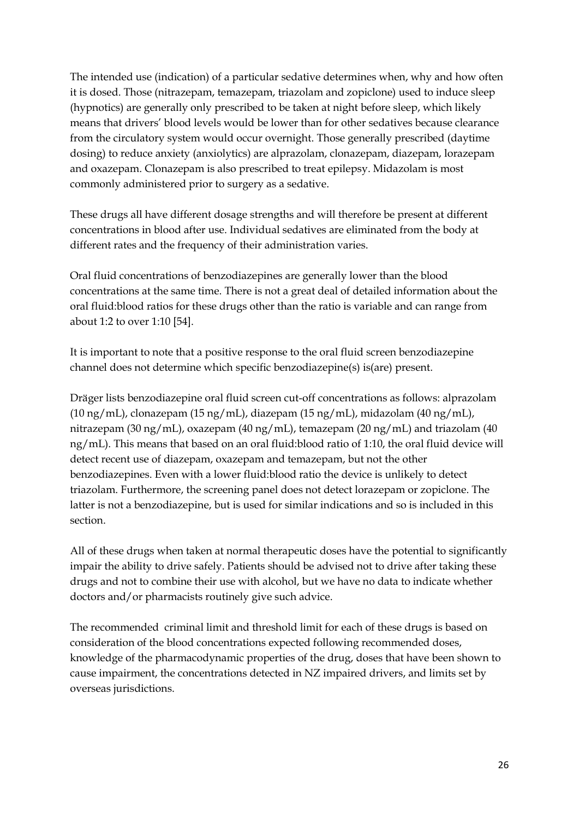The intended use (indication) of a particular sedative determines when, why and how often it is dosed. Those (nitrazepam, temazepam, triazolam and zopiclone) used to induce sleep (hypnotics) are generally only prescribed to be taken at night before sleep, which likely means that drivers' blood levels would be lower than for other sedatives because clearance from the circulatory system would occur overnight. Those generally prescribed (daytime dosing) to reduce anxiety (anxiolytics) are alprazolam, clonazepam, diazepam, lorazepam and oxazepam. Clonazepam is also prescribed to treat epilepsy. Midazolam is most commonly administered prior to surgery as a sedative.

These drugs all have different dosage strengths and will therefore be present at different concentrations in blood after use. Individual sedatives are eliminated from the body at different rates and the frequency of their administration varies.

Oral fluid concentrations of benzodiazepines are generally lower than the blood concentrations at the same time. There is not a great deal of detailed information about the oral fluid:blood ratios for these drugs other than the ratio is variable and can range from about 1:2 to over 1:10 [54].

It is important to note that a positive response to the oral fluid screen benzodiazepine channel does not determine which specific benzodiazepine(s) is(are) present.

Dräger lists benzodiazepine oral fluid screen cut-off concentrations as follows: alprazolam (10 ng/mL), clonazepam (15 ng/mL), diazepam (15 ng/mL), midazolam (40 ng/mL), nitrazepam (30 ng/mL), oxazepam (40 ng/mL), temazepam (20 ng/mL) and triazolam (40 ng/mL). This means that based on an oral fluid:blood ratio of 1:10, the oral fluid device will detect recent use of diazepam, oxazepam and temazepam, but not the other benzodiazepines. Even with a lower fluid:blood ratio the device is unlikely to detect triazolam. Furthermore, the screening panel does not detect lorazepam or zopiclone. The latter is not a benzodiazepine, but is used for similar indications and so is included in this section.

All of these drugs when taken at normal therapeutic doses have the potential to significantly impair the ability to drive safely. Patients should be advised not to drive after taking these drugs and not to combine their use with alcohol, but we have no data to indicate whether doctors and/or pharmacists routinely give such advice.

The recommended criminal limit and threshold limit for each of these drugs is based on consideration of the blood concentrations expected following recommended doses, knowledge of the pharmacodynamic properties of the drug, doses that have been shown to cause impairment, the concentrations detected in NZ impaired drivers, and limits set by overseas jurisdictions.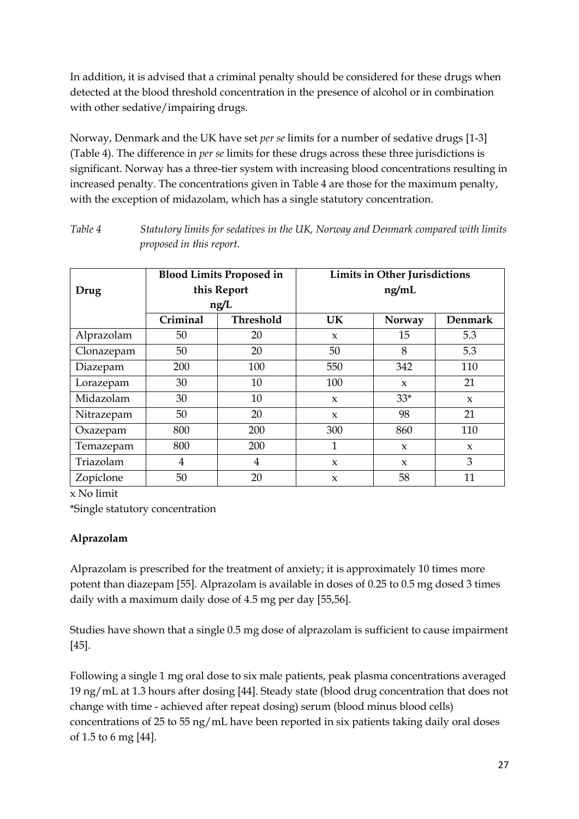In addition, it is advised that a criminal penalty should be considered for these drugs when detected at the blood threshold concentration in the presence of alcohol or in combination with other sedative/impairing drugs.

Norway, Denmark and the UK have set *per se* limits for a number of sedative drugs [1-3] (Table 4). The difference in *per se* limits for these drugs across these three jurisdictions is significant. Norway has a three-tier system with increasing blood concentrations resulting in increased penalty. The concentrations given in Table 4 are those for the maximum penalty, with the exception of midazolam, which has a single statutory concentration.

| Drug       | <b>Blood Limits Proposed in</b><br>this Report |           | <b>Limits in Other Jurisdictions</b><br>ng/mL |              |                |  |
|------------|------------------------------------------------|-----------|-----------------------------------------------|--------------|----------------|--|
|            |                                                | ng/L      |                                               |              |                |  |
|            | Criminal                                       | Threshold | <b>UK</b>                                     | Norway       | <b>Denmark</b> |  |
| Alprazolam | 50                                             | 20        | $\boldsymbol{\chi}$                           | 15           | 5.3            |  |
| Clonazepam | 50                                             | 20        | 50                                            | 8            | 5.3            |  |
| Diazepam   | 200                                            | 100       | 550                                           | 342          | 110            |  |
| Lorazepam  | 30                                             | 10        | 100                                           | $\mathbf{x}$ | 21             |  |
| Midazolam  | 30                                             | 10        | $\mathbf{x}$                                  | $33*$        | $\mathbf{x}$   |  |
| Nitrazepam | 50                                             | 20        | $\boldsymbol{\chi}$                           | 98           | 21             |  |
| Oxazepam   | 800                                            | 200       | 300                                           | 860          | 110            |  |
| Temazepam  | 800                                            | 200       | 1                                             | $\mathbf{x}$ | $\mathbf{x}$   |  |
| Triazolam  | $\overline{4}$                                 | 4         | $\boldsymbol{\chi}$                           | $\mathbf{x}$ | 3              |  |
| Zopiclone  | 50                                             | 20        | $\boldsymbol{\chi}$                           | 58           | 11             |  |

*Table 4 Statutory limits for sedatives in the UK, Norway and Denmark compared with limits proposed in this report.*

x No limit

\*Single statutory concentration

## **Alprazolam**

Alprazolam is prescribed for the treatment of anxiety; it is approximately 10 times more potent than diazepam [55]. Alprazolam is available in doses of 0.25 to 0.5 mg dosed 3 times daily with a maximum daily dose of 4.5 mg per day [55,56].

Studies have shown that a single 0.5 mg dose of alprazolam is sufficient to cause impairment [45].

Following a single 1 mg oral dose to six male patients, peak plasma concentrations averaged 19 ng/mL at 1.3 hours after dosing [44]. Steady state (blood drug concentration that does not change with time - achieved after repeat dosing) serum (blood minus blood cells) concentrations of 25 to 55 ng/mL have been reported in six patients taking daily oral doses of 1.5 to 6 mg [44].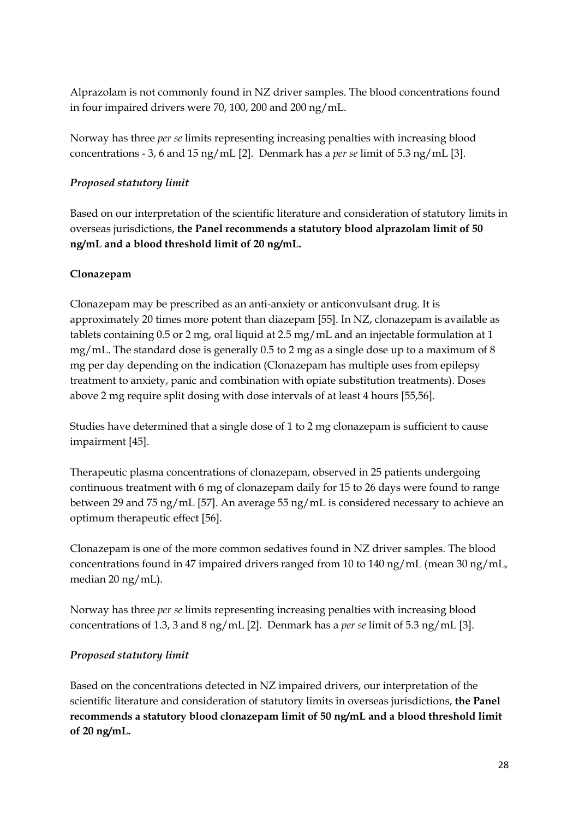Alprazolam is not commonly found in NZ driver samples. The blood concentrations found in four impaired drivers were 70, 100, 200 and 200 ng/mL.

Norway has three *per se* limits representing increasing penalties with increasing blood concentrations - 3, 6 and 15 ng/mL [2]. Denmark has a *per se* limit of 5.3 ng/mL [3].

## *Proposed statutory limit*

Based on our interpretation of the scientific literature and consideration of statutory limits in overseas jurisdictions, **the Panel recommends a statutory blood alprazolam limit of 50 ng/mL and a blood threshold limit of 20 ng/mL.**

### **Clonazepam**

Clonazepam may be prescribed as an anti-anxiety or anticonvulsant drug. It is approximately 20 times more potent than diazepam [55]. In NZ, clonazepam is available as tablets containing 0.5 or 2 mg, oral liquid at 2.5 mg/mL and an injectable formulation at 1 mg/mL. The standard dose is generally 0.5 to 2 mg as a single dose up to a maximum of 8 mg per day depending on the indication (Clonazepam has multiple uses from epilepsy treatment to anxiety, panic and combination with opiate substitution treatments). Doses above 2 mg require split dosing with dose intervals of at least 4 hours [55,56].

Studies have determined that a single dose of 1 to 2 mg clonazepam is sufficient to cause impairment [45].

Therapeutic plasma concentrations of clonazepam, observed in 25 patients undergoing continuous treatment with 6 mg of clonazepam daily for 15 to 26 days were found to range between 29 and 75 ng/mL [57]. An average 55 ng/mL is considered necessary to achieve an optimum therapeutic effect [56].

Clonazepam is one of the more common sedatives found in NZ driver samples. The blood concentrations found in 47 impaired drivers ranged from 10 to 140 ng/mL (mean 30 ng/mL, median 20 ng/mL).

Norway has three *per se* limits representing increasing penalties with increasing blood concentrations of 1.3, 3 and 8 ng/mL [2]. Denmark has a *per se* limit of 5.3 ng/mL [3].

#### *Proposed statutory limit*

Based on the concentrations detected in NZ impaired drivers, our interpretation of the scientific literature and consideration of statutory limits in overseas jurisdictions, **the Panel recommends a statutory blood clonazepam limit of 50 ng/mL and a blood threshold limit of 20 ng/mL.**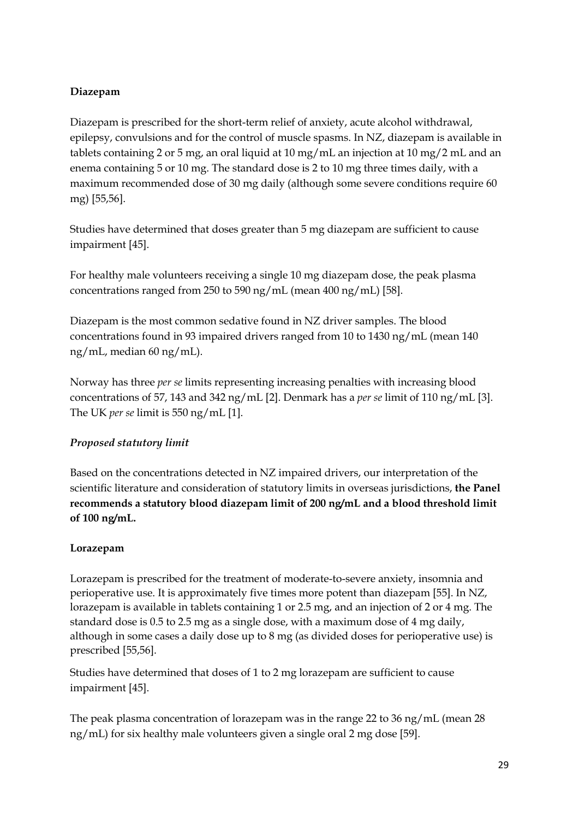## **Diazepam**

Diazepam is prescribed for the short-term relief of anxiety, acute alcohol withdrawal, epilepsy, convulsions and for the control of muscle spasms. In NZ, diazepam is available in tablets containing 2 or 5 mg, an oral liquid at 10 mg/mL an injection at 10 mg/2 mL and an enema containing 5 or 10 mg. The standard dose is 2 to 10 mg three times daily, with a maximum recommended dose of 30 mg daily (although some severe conditions require 60 mg) [55,56].

Studies have determined that doses greater than 5 mg diazepam are sufficient to cause impairment [45].

For healthy male volunteers receiving a single 10 mg diazepam dose, the peak plasma concentrations ranged from 250 to 590 ng/mL (mean 400 ng/mL) [58].

Diazepam is the most common sedative found in NZ driver samples. The blood concentrations found in 93 impaired drivers ranged from 10 to 1430 ng/mL (mean 140 ng/mL, median 60 ng/mL).

Norway has three *per se* limits representing increasing penalties with increasing blood concentrations of 57, 143 and 342 ng/mL [2]. Denmark has a *per se* limit of 110 ng/mL [3]. The UK *per se* limit is 550 ng/mL [1].

## *Proposed statutory limit*

Based on the concentrations detected in NZ impaired drivers, our interpretation of the scientific literature and consideration of statutory limits in overseas jurisdictions, **the Panel recommends a statutory blood diazepam limit of 200 ng/mL and a blood threshold limit of 100 ng/mL.**

#### **Lorazepam**

Lorazepam is prescribed for the treatment of moderate-to-severe anxiety, insomnia and perioperative use. It is approximately five times more potent than diazepam [55]. In NZ, lorazepam is available in tablets containing 1 or 2.5 mg, and an injection of 2 or 4 mg. The standard dose is 0.5 to 2.5 mg as a single dose, with a maximum dose of 4 mg daily, although in some cases a daily dose up to 8 mg (as divided doses for perioperative use) is prescribed [55,56].

Studies have determined that doses of 1 to 2 mg lorazepam are sufficient to cause impairment [45].

The peak plasma concentration of lorazepam was in the range 22 to 36 ng/mL (mean 28 ng/mL) for six healthy male volunteers given a single oral 2 mg dose [59].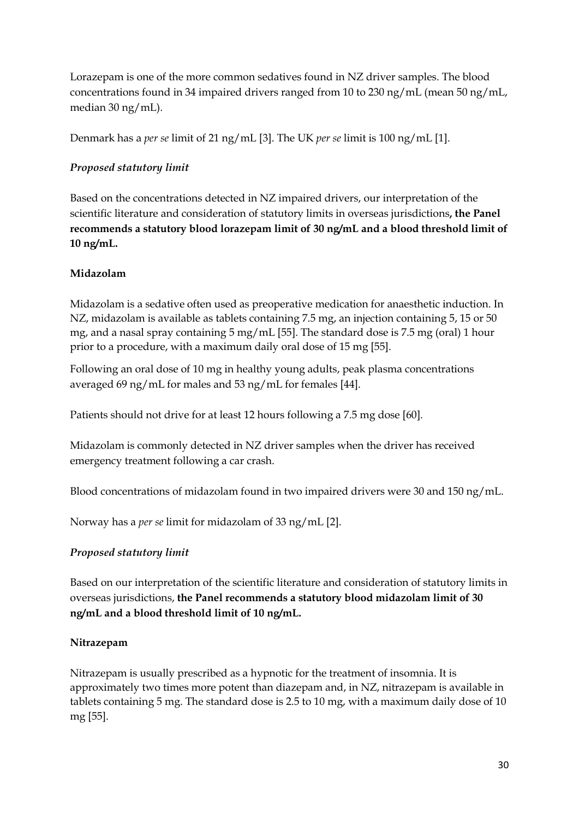Lorazepam is one of the more common sedatives found in NZ driver samples. The blood concentrations found in 34 impaired drivers ranged from 10 to 230 ng/mL (mean 50 ng/mL, median 30 ng/mL).

Denmark has a *per se* limit of 21 ng/mL [3]. The UK *per se* limit is 100 ng/mL [1].

## *Proposed statutory limit*

Based on the concentrations detected in NZ impaired drivers, our interpretation of the scientific literature and consideration of statutory limits in overseas jurisdictions**, the Panel recommends a statutory blood lorazepam limit of 30 ng/mL and a blood threshold limit of 10 ng/mL.**

### **Midazolam**

Midazolam is a sedative often used as preoperative medication for anaesthetic induction. In NZ, midazolam is available as tablets containing 7.5 mg, an injection containing 5, 15 or 50 mg, and a nasal spray containing 5 mg/mL [55]. The standard dose is 7.5 mg (oral) 1 hour prior to a procedure, with a maximum daily oral dose of 15 mg [55].

Following an oral dose of 10 mg in healthy young adults, peak plasma concentrations averaged 69 ng/mL for males and 53 ng/mL for females [44].

Patients should not drive for at least 12 hours following a 7.5 mg dose [60].

Midazolam is commonly detected in NZ driver samples when the driver has received emergency treatment following a car crash.

Blood concentrations of midazolam found in two impaired drivers were 30 and 150 ng/mL.

Norway has a *per se* limit for midazolam of 33 ng/mL [2].

## *Proposed statutory limit*

Based on our interpretation of the scientific literature and consideration of statutory limits in overseas jurisdictions, **the Panel recommends a statutory blood midazolam limit of 30 ng/mL and a blood threshold limit of 10 ng/mL.**

#### **Nitrazepam**

Nitrazepam is usually prescribed as a hypnotic for the treatment of insomnia. It is approximately two times more potent than diazepam and, in NZ, nitrazepam is available in tablets containing 5 mg. The standard dose is 2.5 to 10 mg, with a maximum daily dose of 10 mg [55].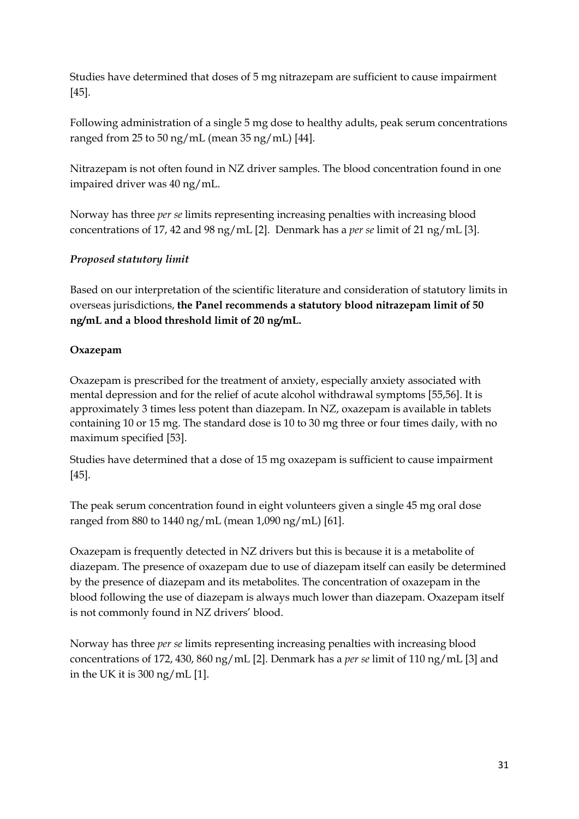Studies have determined that doses of 5 mg nitrazepam are sufficient to cause impairment [45].

Following administration of a single 5 mg dose to healthy adults, peak serum concentrations ranged from 25 to 50 ng/mL (mean 35 ng/mL) [44].

Nitrazepam is not often found in NZ driver samples. The blood concentration found in one impaired driver was 40 ng/mL.

Norway has three *per se* limits representing increasing penalties with increasing blood concentrations of 17, 42 and 98 ng/mL [2]. Denmark has a *per se* limit of 21 ng/mL [3].

## *Proposed statutory limit*

Based on our interpretation of the scientific literature and consideration of statutory limits in overseas jurisdictions, **the Panel recommends a statutory blood nitrazepam limit of 50 ng/mL and a blood threshold limit of 20 ng/mL.**

## **Oxazepam**

Oxazepam is prescribed for the treatment of anxiety, especially anxiety associated with mental depression and for the relief of acute alcohol withdrawal symptoms [55,56]. It is approximately 3 times less potent than diazepam. In NZ, oxazepam is available in tablets containing 10 or 15 mg. The standard dose is 10 to 30 mg three or four times daily, with no maximum specified [53].

Studies have determined that a dose of 15 mg oxazepam is sufficient to cause impairment [45].

The peak serum concentration found in eight volunteers given a single 45 mg oral dose ranged from 880 to 1440 ng/mL (mean 1,090 ng/mL) [61].

Oxazepam is frequently detected in NZ drivers but this is because it is a metabolite of diazepam. The presence of oxazepam due to use of diazepam itself can easily be determined by the presence of diazepam and its metabolites. The concentration of oxazepam in the blood following the use of diazepam is always much lower than diazepam. Oxazepam itself is not commonly found in NZ drivers' blood.

Norway has three *per se* limits representing increasing penalties with increasing blood concentrations of 172, 430, 860 ng/mL [2]. Denmark has a *per se* limit of 110 ng/mL [3] and in the UK it is 300 ng/mL [1].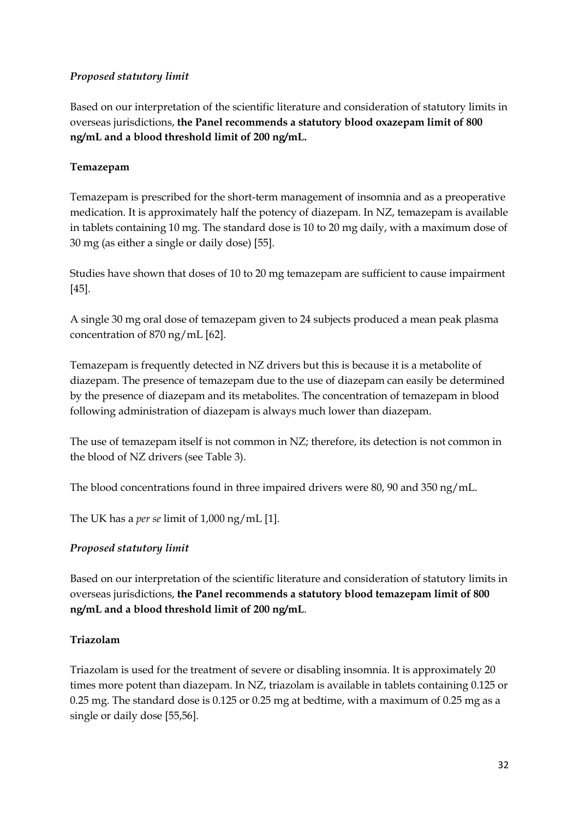#### *Proposed statutory limit*

Based on our interpretation of the scientific literature and consideration of statutory limits in overseas jurisdictions, **the Panel recommends a statutory blood oxazepam limit of 800 ng/mL and a blood threshold limit of 200 ng/mL.**

### **Temazepam**

Temazepam is prescribed for the short-term management of insomnia and as a preoperative medication. It is approximately half the potency of diazepam. In NZ, temazepam is available in tablets containing 10 mg. The standard dose is 10 to 20 mg daily, with a maximum dose of 30 mg (as either a single or daily dose) [55].

Studies have shown that doses of 10 to 20 mg temazepam are sufficient to cause impairment [45].

A single 30 mg oral dose of temazepam given to 24 subjects produced a mean peak plasma concentration of 870 ng/mL [62].

Temazepam is frequently detected in NZ drivers but this is because it is a metabolite of diazepam. The presence of temazepam due to the use of diazepam can easily be determined by the presence of diazepam and its metabolites. The concentration of temazepam in blood following administration of diazepam is always much lower than diazepam.

The use of temazepam itself is not common in NZ; therefore, its detection is not common in the blood of NZ drivers (see Table 3).

The blood concentrations found in three impaired drivers were 80, 90 and 350 ng/mL.

The UK has a *per se* limit of 1,000 ng/mL [1].

#### *Proposed statutory limit*

Based on our interpretation of the scientific literature and consideration of statutory limits in overseas jurisdictions, **the Panel recommends a statutory blood temazepam limit of 800 ng/mL and a blood threshold limit of 200 ng/mL**.

#### **Triazolam**

Triazolam is used for the treatment of severe or disabling insomnia. It is approximately 20 times more potent than diazepam. In NZ, triazolam is available in tablets containing 0.125 or 0.25 mg. The standard dose is 0.125 or 0.25 mg at bedtime, with a maximum of 0.25 mg as a single or daily dose [55,56].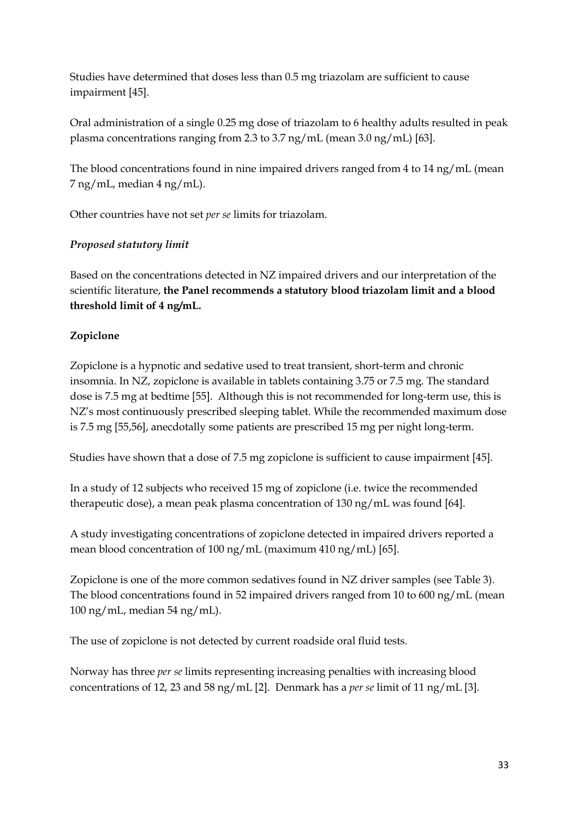Studies have determined that doses less than 0.5 mg triazolam are sufficient to cause impairment [45].

Oral administration of a single 0.25 mg dose of triazolam to 6 healthy adults resulted in peak plasma concentrations ranging from 2.3 to 3.7 ng/mL (mean 3.0 ng/mL) [63].

The blood concentrations found in nine impaired drivers ranged from 4 to 14 ng/mL (mean 7 ng/mL, median 4 ng/mL).

Other countries have not set *per se* limits for triazolam.

### *Proposed statutory limit*

Based on the concentrations detected in NZ impaired drivers and our interpretation of the scientific literature, **the Panel recommends a statutory blood triazolam limit and a blood threshold limit of 4 ng/mL.**

### **Zopiclone**

Zopiclone is a hypnotic and sedative used to treat transient, short-term and chronic insomnia. In NZ, zopiclone is available in tablets containing 3.75 or 7.5 mg. The standard dose is 7.5 mg at bedtime [55]. Although this is not recommended for long-term use, this is NZ's most continuously prescribed sleeping tablet. While the recommended maximum dose is 7.5 mg [55,56], anecdotally some patients are prescribed 15 mg per night long-term.

Studies have shown that a dose of 7.5 mg zopiclone is sufficient to cause impairment [45].

In a study of 12 subjects who received 15 mg of zopiclone (i.e. twice the recommended therapeutic dose), a mean peak plasma concentration of 130 ng/mL was found [64].

A study investigating concentrations of zopiclone detected in impaired drivers reported a mean blood concentration of 100 ng/mL (maximum 410 ng/mL) [65].

Zopiclone is one of the more common sedatives found in NZ driver samples (see Table 3). The blood concentrations found in 52 impaired drivers ranged from 10 to 600 ng/mL (mean 100 ng/mL, median 54 ng/mL).

The use of zopiclone is not detected by current roadside oral fluid tests.

Norway has three *per se* limits representing increasing penalties with increasing blood concentrations of 12, 23 and 58 ng/mL [2]. Denmark has a *per se* limit of 11 ng/mL [3].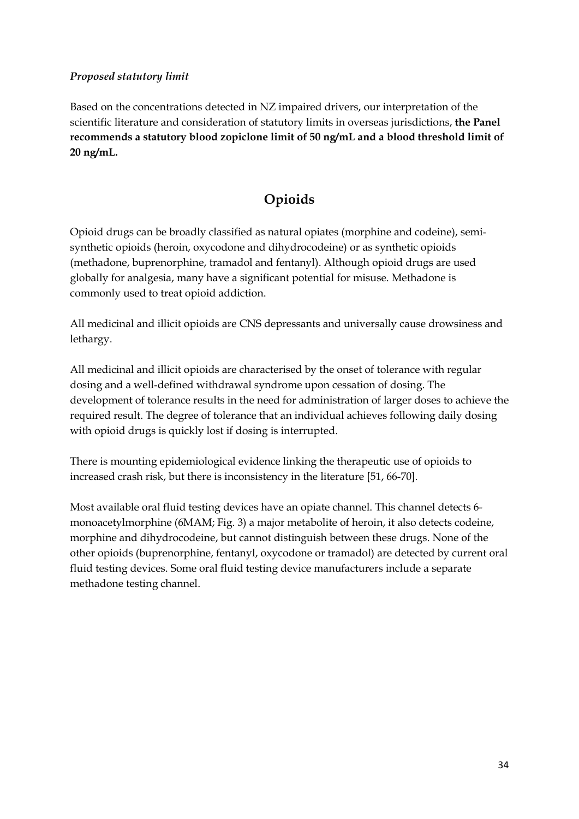#### *Proposed statutory limit*

Based on the concentrations detected in NZ impaired drivers, our interpretation of the scientific literature and consideration of statutory limits in overseas jurisdictions, **the Panel recommends a statutory blood zopiclone limit of 50 ng/mL and a blood threshold limit of 20 ng/mL.**

## **Opioids**

Opioid drugs can be broadly classified as natural opiates (morphine and codeine), semi‐ synthetic opioids (heroin, oxycodone and dihydrocodeine) or as synthetic opioids (methadone, buprenorphine, tramadol and fentanyl). Although opioid drugs are used globally for analgesia, many have a significant potential for misuse. Methadone is commonly used to treat opioid addiction.

All medicinal and illicit opioids are CNS depressants and universally cause drowsiness and lethargy.

All medicinal and illicit opioids are characterised by the onset of tolerance with regular dosing and a well‐defined withdrawal syndrome upon cessation of dosing. The development of tolerance results in the need for administration of larger doses to achieve the required result. The degree of tolerance that an individual achieves following daily dosing with opioid drugs is quickly lost if dosing is interrupted.

There is mounting epidemiological evidence linking the therapeutic use of opioids to increased crash risk, but there is inconsistency in the literature [51, 66-70].

Most available oral fluid testing devices have an opiate channel. This channel detects 6 monoacetylmorphine (6MAM; Fig. 3) a major metabolite of heroin, it also detects codeine, morphine and dihydrocodeine, but cannot distinguish between these drugs. None of the other opioids (buprenorphine, fentanyl, oxycodone or tramadol) are detected by current oral fluid testing devices. Some oral fluid testing device manufacturers include a separate methadone testing channel.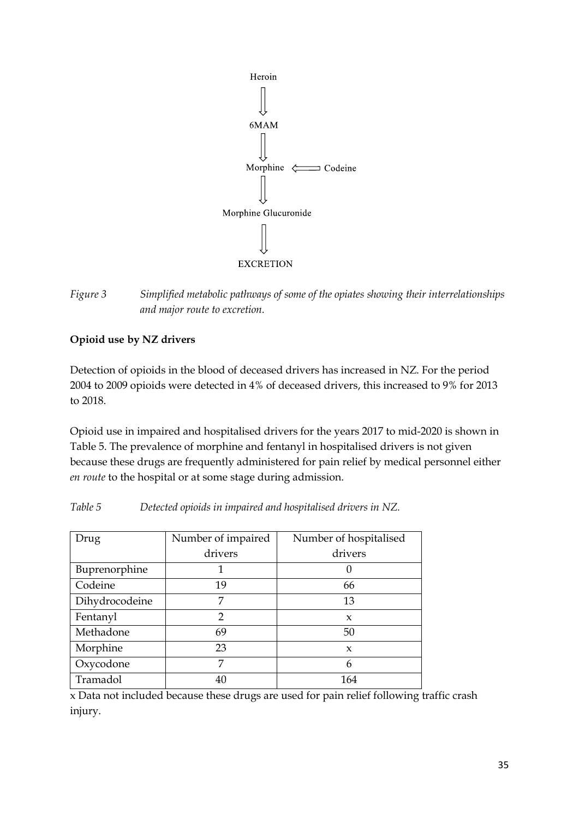



### **Opioid use by NZ drivers**

Detection of opioids in the blood of deceased drivers has increased in NZ. For the period 2004 to 2009 opioids were detected in 4% of deceased drivers, this increased to 9% for 2013 to 2018.

Opioid use in impaired and hospitalised drivers for the years 2017 to mid-2020 is shown in Table 5. The prevalence of morphine and fentanyl in hospitalised drivers is not given because these drugs are frequently administered for pain relief by medical personnel either *en route* to the hospital or at some stage during admission.

| Drug           | Number of impaired | Number of hospitalised |  |
|----------------|--------------------|------------------------|--|
|                | drivers            | drivers                |  |
| Buprenorphine  |                    |                        |  |
| Codeine        | 19                 | 66                     |  |
| Dihydrocodeine | 7                  | 13                     |  |
| Fentanyl       | $\mathcal{P}$      | $\mathbf{x}$           |  |
| Methadone      | 69                 | 50                     |  |
| Morphine       | 23                 | $\boldsymbol{\chi}$    |  |
| Oxycodone      | 7                  | 6                      |  |
| Tramadol       | 40                 | 164                    |  |

*Table 5 Detected opioids in impaired and hospitalised drivers in NZ.*

x Data not included because these drugs are used for pain relief following traffic crash injury.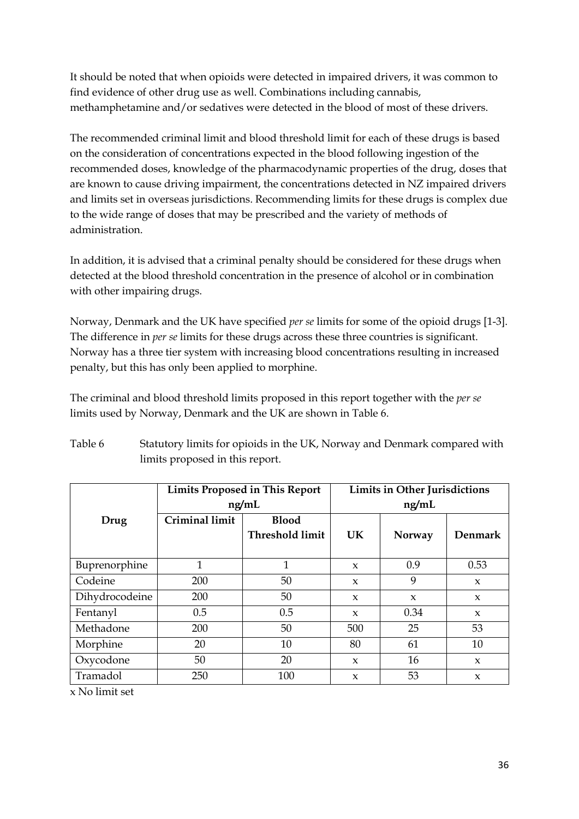It should be noted that when opioids were detected in impaired drivers, it was common to find evidence of other drug use as well. Combinations including cannabis, methamphetamine and/or sedatives were detected in the blood of most of these drivers.

The recommended criminal limit and blood threshold limit for each of these drugs is based on the consideration of concentrations expected in the blood following ingestion of the recommended doses, knowledge of the pharmacodynamic properties of the drug, doses that are known to cause driving impairment, the concentrations detected in NZ impaired drivers and limits set in overseas jurisdictions. Recommending limits for these drugs is complex due to the wide range of doses that may be prescribed and the variety of methods of administration.

In addition, it is advised that a criminal penalty should be considered for these drugs when detected at the blood threshold concentration in the presence of alcohol or in combination with other impairing drugs.

Norway, Denmark and the UK have specified *per se* limits for some of the opioid drugs [1-3]. The difference in *per se* limits for these drugs across these three countries is significant. Norway has a three tier system with increasing blood concentrations resulting in increased penalty, but this has only been applied to morphine.

The criminal and blood threshold limits proposed in this report together with the *per se* limits used by Norway, Denmark and the UK are shown in Table 6.

|                            | <b>Limits Proposed in This Report</b> |                        |              | <b>Limits in Other Jurisdictions</b> |                |  |
|----------------------------|---------------------------------------|------------------------|--------------|--------------------------------------|----------------|--|
|                            | ng/mL                                 |                        | ng/mL        |                                      |                |  |
| Drug                       | <b>Criminal limit</b><br><b>Blood</b> |                        |              |                                      |                |  |
|                            |                                       | <b>Threshold limit</b> | <b>UK</b>    | Norway                               | <b>Denmark</b> |  |
|                            |                                       |                        |              |                                      |                |  |
| Buprenorphine              | $\mathbf{1}$                          | $\mathbf{1}$           | $\mathbf{x}$ | 0.9                                  | 0.53           |  |
| Codeine                    | 200                                   | 50                     | $\mathbf{x}$ | 9                                    | $\mathbf x$    |  |
| Dihydrocodeine             | 200                                   | 50                     | $\mathbf{x}$ | $\mathbf{x}$                         | $\mathbf{x}$   |  |
| Fentanyl                   | 0.5                                   | 0.5                    | $\mathbf{x}$ | 0.34                                 | $\mathbf{x}$   |  |
| Methadone                  | 200                                   | 50                     | 500          | 25                                   | 53             |  |
| Morphine                   | 20                                    | 10                     | 80           | 61                                   | 10             |  |
| Oxycodone                  | 50                                    | 20                     | $\mathbf{x}$ | 16                                   | $\mathbf{x}$   |  |
| Tramadol                   | 250                                   | 100                    | $\mathbf{x}$ | 53                                   | $\mathbf{x}$   |  |
| $\sim N_{\odot}$ limit ont |                                       |                        |              |                                      |                |  |

Table 6 Statutory limits for opioids in the UK, Norway and Denmark compared with limits proposed in this report.

x No limit set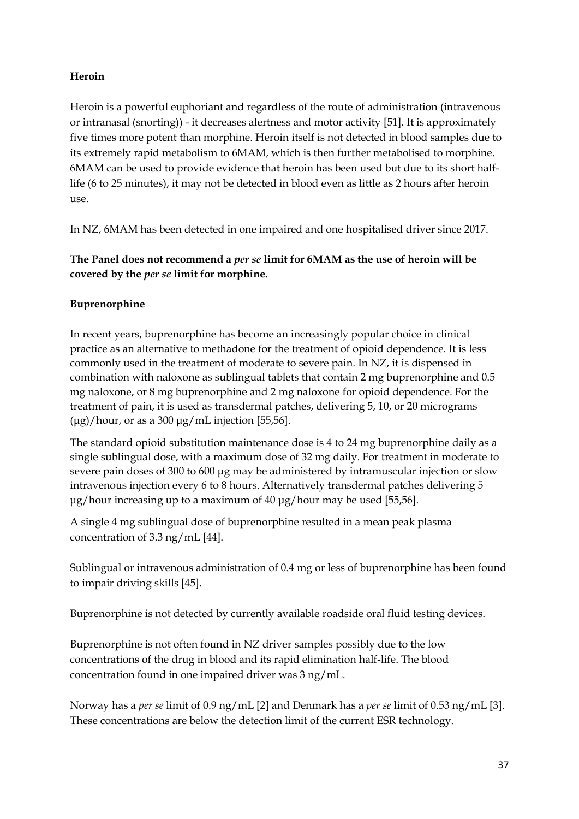## **Heroin**

Heroin is a powerful euphoriant and regardless of the route of administration (intravenous or intranasal (snorting)) - it decreases alertness and motor activity [51]. It is approximately five times more potent than morphine. Heroin itself is not detected in blood samples due to its extremely rapid metabolism to 6MAM, which is then further metabolised to morphine. 6MAM can be used to provide evidence that heroin has been used but due to its short halflife (6 to 25 minutes), it may not be detected in blood even as little as 2 hours after heroin use.

In NZ, 6MAM has been detected in one impaired and one hospitalised driver since 2017.

## **The Panel does not recommend a** *per se* **limit for 6MAM as the use of heroin will be covered by the** *per se* **limit for morphine.**

### **Buprenorphine**

In recent years, buprenorphine has become an increasingly popular choice in clinical practice as an alternative to methadone for the treatment of opioid dependence. It is less commonly used in the treatment of moderate to severe pain. In NZ, it is dispensed in combination with naloxone as sublingual tablets that contain 2 mg buprenorphine and 0.5 mg naloxone, or 8 mg buprenorphine and 2 mg naloxone for opioid dependence. For the treatment of pain, it is used as transdermal patches, delivering 5, 10, or 20 micrograms  $(\mu$ g)/hour, or as a 300  $\mu$ g/mL injection [55,56].

The standard opioid substitution maintenance dose is 4 to 24 mg buprenorphine daily as a single sublingual dose, with a maximum dose of 32 mg daily. For treatment in moderate to severe pain doses of 300 to 600 μg may be administered by intramuscular injection or slow intravenous injection every 6 to 8 hours. Alternatively transdermal patches delivering 5  $\mu$ g/hour increasing up to a maximum of 40  $\mu$ g/hour may be used [55,56].

A single 4 mg sublingual dose of buprenorphine resulted in a mean peak plasma concentration of 3.3 ng/mL [44].

Sublingual or intravenous administration of 0.4 mg or less of buprenorphine has been found to impair driving skills [45].

Buprenorphine is not detected by currently available roadside oral fluid testing devices.

Buprenorphine is not often found in NZ driver samples possibly due to the low concentrations of the drug in blood and its rapid elimination half-life. The blood concentration found in one impaired driver was 3 ng/mL.

Norway has a *per se* limit of 0.9 ng/mL [2] and Denmark has a *per se* limit of 0.53 ng/mL [3]. These concentrations are below the detection limit of the current ESR technology.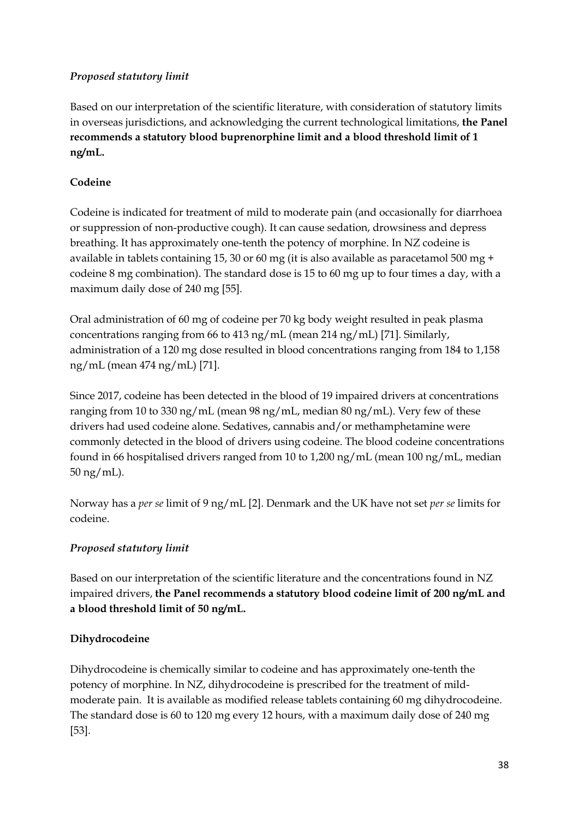## *Proposed statutory limit*

Based on our interpretation of the scientific literature, with consideration of statutory limits in overseas jurisdictions, and acknowledging the current technological limitations, **the Panel recommends a statutory blood buprenorphine limit and a blood threshold limit of 1 ng/mL.**

## **Codeine**

Codeine is indicated for treatment of mild to moderate pain (and occasionally for diarrhoea or suppression of non-productive cough). It can cause sedation, drowsiness and depress breathing. It has approximately one-tenth the potency of morphine. In NZ codeine is available in tablets containing 15, 30 or 60 mg (it is also available as paracetamol 500 mg + codeine 8 mg combination). The standard dose is 15 to 60 mg up to four times a day, with a maximum daily dose of 240 mg [55].

Oral administration of 60 mg of codeine per 70 kg body weight resulted in peak plasma concentrations ranging from 66 to 413 ng/mL (mean 214 ng/mL) [71]. Similarly, administration of a 120 mg dose resulted in blood concentrations ranging from 184 to 1,158 ng/mL (mean 474 ng/mL) [71].

Since 2017, codeine has been detected in the blood of 19 impaired drivers at concentrations ranging from 10 to 330 ng/mL (mean 98 ng/mL, median 80 ng/mL). Very few of these drivers had used codeine alone. Sedatives, cannabis and/or methamphetamine were commonly detected in the blood of drivers using codeine. The blood codeine concentrations found in 66 hospitalised drivers ranged from 10 to 1,200 ng/mL (mean 100 ng/mL, median 50 ng/mL).

Norway has a *per se* limit of 9 ng/mL [2]. Denmark and the UK have not set *per se* limits for codeine.

## *Proposed statutory limit*

Based on our interpretation of the scientific literature and the concentrations found in NZ impaired drivers, **the Panel recommends a statutory blood codeine limit of 200 ng/mL and a blood threshold limit of 50 ng/mL.**

#### **Dihydrocodeine**

Dihydrocodeine is chemically similar to codeine and has approximately one-tenth the potency of morphine. In NZ, dihydrocodeine is prescribed for the treatment of mildmoderate pain. It is available as modified release tablets containing 60 mg dihydrocodeine. The standard dose is 60 to 120 mg every 12 hours, with a maximum daily dose of 240 mg [53].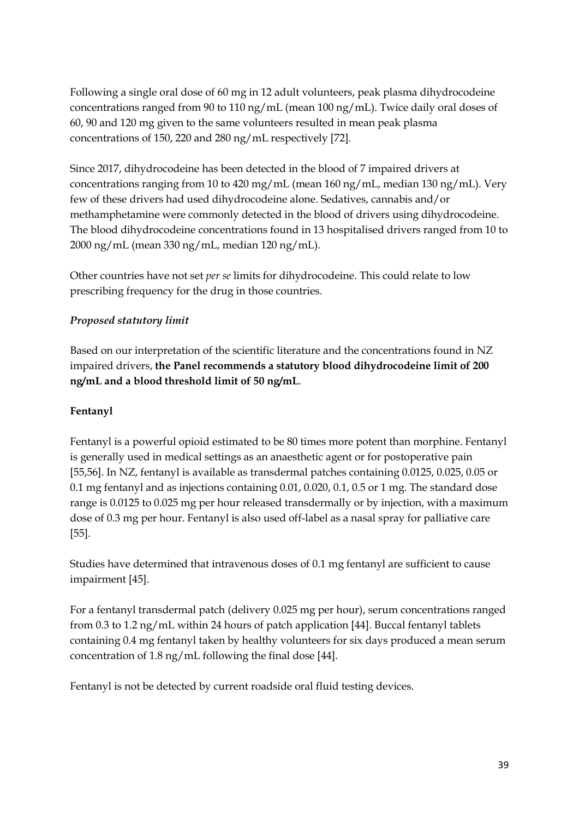Following a single oral dose of 60 mg in 12 adult volunteers, peak plasma dihydrocodeine concentrations ranged from 90 to 110 ng/mL (mean 100 ng/mL). Twice daily oral doses of 60, 90 and 120 mg given to the same volunteers resulted in mean peak plasma concentrations of 150, 220 and 280 ng/mL respectively [72].

Since 2017, dihydrocodeine has been detected in the blood of 7 impaired drivers at concentrations ranging from 10 to 420 mg/mL (mean 160 ng/mL, median 130 ng/mL). Very few of these drivers had used dihydrocodeine alone. Sedatives, cannabis and/or methamphetamine were commonly detected in the blood of drivers using dihydrocodeine. The blood dihydrocodeine concentrations found in 13 hospitalised drivers ranged from 10 to 2000 ng/mL (mean 330 ng/mL, median 120 ng/mL).

Other countries have not set *per se* limits for dihydrocodeine. This could relate to low prescribing frequency for the drug in those countries.

## *Proposed statutory limit*

Based on our interpretation of the scientific literature and the concentrations found in NZ impaired drivers, **the Panel recommends a statutory blood dihydrocodeine limit of 200 ng/mL and a blood threshold limit of 50 ng/mL**.

#### **Fentanyl**

Fentanyl is a powerful opioid estimated to be 80 times more potent than morphine. Fentanyl is generally used in medical settings as an anaesthetic agent or for postoperative pain [55,56]. In NZ, fentanyl is available as transdermal patches containing 0.0125, 0.025, 0.05 or 0.1 mg fentanyl and as injections containing 0.01, 0.020, 0.1, 0.5 or 1 mg. The standard dose range is 0.0125 to 0.025 mg per hour released transdermally or by injection, with a maximum dose of 0.3 mg per hour. Fentanyl is also used off-label as a nasal spray for palliative care [55].

Studies have determined that intravenous doses of 0.1 mg fentanyl are sufficient to cause impairment [45].

For a fentanyl transdermal patch (delivery 0.025 mg per hour), serum concentrations ranged from 0.3 to 1.2 ng/mL within 24 hours of patch application [44]. Buccal fentanyl tablets containing 0.4 mg fentanyl taken by healthy volunteers for six days produced a mean serum concentration of 1.8 ng/mL following the final dose [44].

Fentanyl is not be detected by current roadside oral fluid testing devices.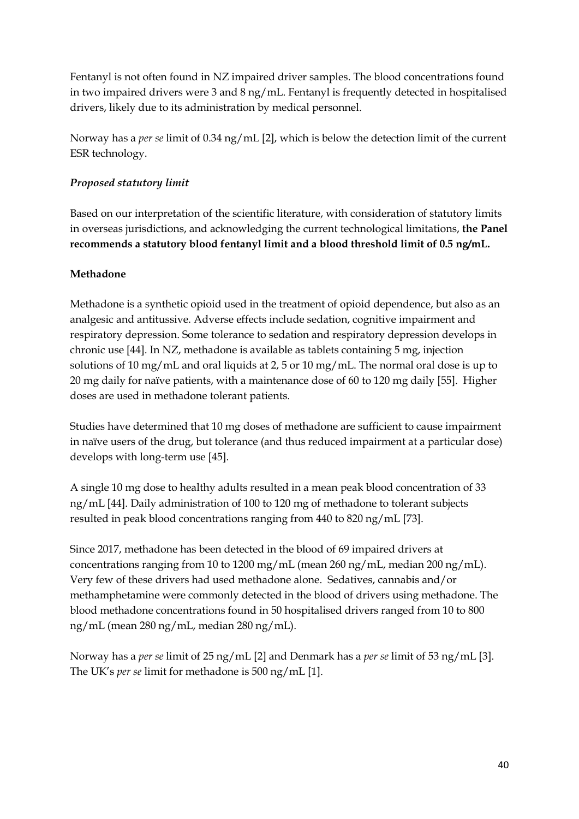Fentanyl is not often found in NZ impaired driver samples. The blood concentrations found in two impaired drivers were 3 and 8 ng/mL. Fentanyl is frequently detected in hospitalised drivers, likely due to its administration by medical personnel.

Norway has a *per se* limit of 0.34 ng/mL [2], which is below the detection limit of the current ESR technology.

## *Proposed statutory limit*

Based on our interpretation of the scientific literature, with consideration of statutory limits in overseas jurisdictions, and acknowledging the current technological limitations, **the Panel recommends a statutory blood fentanyl limit and a blood threshold limit of 0.5 ng/mL.**

### **Methadone**

Methadone is a synthetic opioid used in the treatment of opioid dependence, but also as an analgesic and antitussive. Adverse effects include sedation, cognitive impairment and respiratory depression. Some tolerance to sedation and respiratory depression develops in chronic use [44]. In NZ, methadone is available as tablets containing 5 mg, injection solutions of 10 mg/mL and oral liquids at 2, 5 or 10 mg/mL. The normal oral dose is up to 20 mg daily for naïve patients, with a maintenance dose of 60 to 120 mg daily [55]. Higher doses are used in methadone tolerant patients.

Studies have determined that 10 mg doses of methadone are sufficient to cause impairment in naïve users of the drug, but tolerance (and thus reduced impairment at a particular dose) develops with long-term use [45].

A single 10 mg dose to healthy adults resulted in a mean peak blood concentration of 33 ng/mL [44]. Daily administration of 100 to 120 mg of methadone to tolerant subjects resulted in peak blood concentrations ranging from 440 to 820 ng/mL [73].

Since 2017, methadone has been detected in the blood of 69 impaired drivers at concentrations ranging from 10 to 1200 mg/mL (mean 260 ng/mL, median 200 ng/mL). Very few of these drivers had used methadone alone. Sedatives, cannabis and/or methamphetamine were commonly detected in the blood of drivers using methadone. The blood methadone concentrations found in 50 hospitalised drivers ranged from 10 to 800 ng/mL (mean 280 ng/mL, median 280 ng/mL).

Norway has a *per se* limit of 25 ng/mL [2] and Denmark has a *per se* limit of 53 ng/mL [3]. The UK's *per se* limit for methadone is 500 ng/mL [1].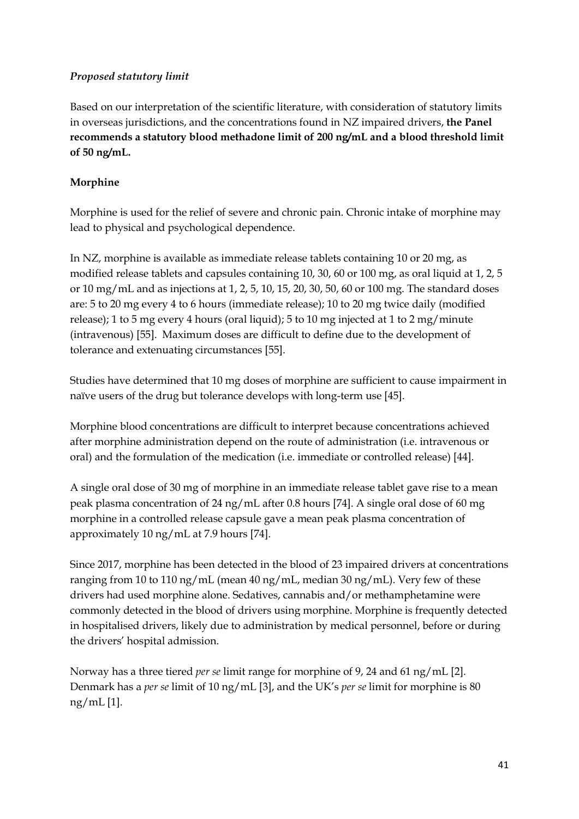## *Proposed statutory limit*

Based on our interpretation of the scientific literature, with consideration of statutory limits in overseas jurisdictions, and the concentrations found in NZ impaired drivers, **the Panel recommends a statutory blood methadone limit of 200 ng/mL and a blood threshold limit of 50 ng/mL.**

## **Morphine**

Morphine is used for the relief of severe and chronic pain. Chronic intake of morphine may lead to physical and psychological dependence.

In NZ, morphine is available as immediate release tablets containing 10 or 20 mg, as modified release tablets and capsules containing 10, 30, 60 or 100 mg, as oral liquid at 1, 2, 5 or 10 mg/mL and as injections at 1, 2, 5, 10, 15, 20, 30, 50, 60 or 100 mg. The standard doses are: 5 to 20 mg every 4 to 6 hours (immediate release); 10 to 20 mg twice daily (modified release); 1 to 5 mg every 4 hours (oral liquid); 5 to 10 mg injected at 1 to 2 mg/minute (intravenous) [55]. Maximum doses are difficult to define due to the development of tolerance and extenuating circumstances [55].

Studies have determined that 10 mg doses of morphine are sufficient to cause impairment in naïve users of the drug but tolerance develops with long-term use [45].

Morphine blood concentrations are difficult to interpret because concentrations achieved after morphine administration depend on the route of administration (i.e. intravenous or oral) and the formulation of the medication (i.e. immediate or controlled release) [44].

A single oral dose of 30 mg of morphine in an immediate release tablet gave rise to a mean peak plasma concentration of 24 ng/mL after 0.8 hours [74]. A single oral dose of 60 mg morphine in a controlled release capsule gave a mean peak plasma concentration of approximately 10 ng/mL at 7.9 hours [74].

Since 2017, morphine has been detected in the blood of 23 impaired drivers at concentrations ranging from 10 to 110 ng/mL (mean 40 ng/mL, median 30 ng/mL). Very few of these drivers had used morphine alone. Sedatives, cannabis and/or methamphetamine were commonly detected in the blood of drivers using morphine. Morphine is frequently detected in hospitalised drivers, likely due to administration by medical personnel, before or during the drivers' hospital admission.

Norway has a three tiered *per se* limit range for morphine of 9, 24 and 61 ng/mL [2]. Denmark has a *per se* limit of 10 ng/mL [3], and the UK's *per se* limit for morphine is 80 ng/mL [1].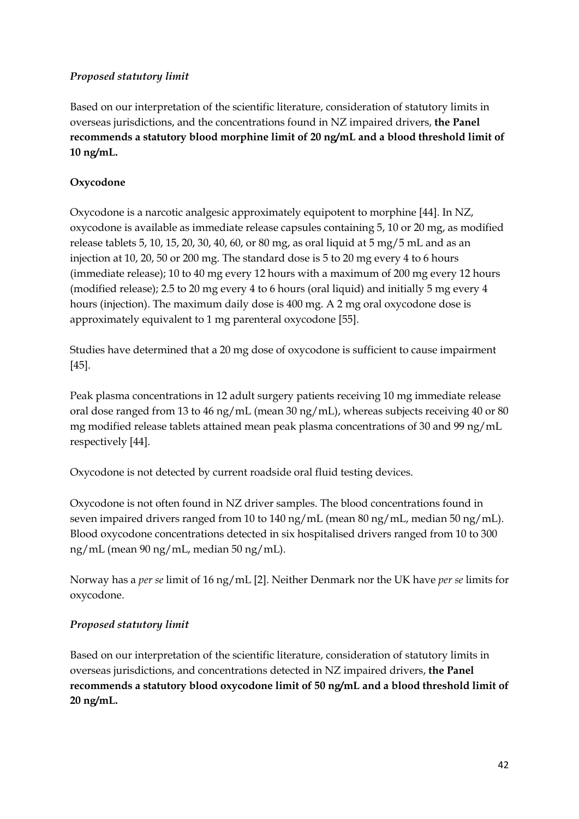### *Proposed statutory limit*

Based on our interpretation of the scientific literature, consideration of statutory limits in overseas jurisdictions, and the concentrations found in NZ impaired drivers, **the Panel recommends a statutory blood morphine limit of 20 ng/mL and a blood threshold limit of 10 ng/mL.**

## **Oxycodone**

Oxycodone is a narcotic analgesic approximately equipotent to morphine [44]. In NZ, oxycodone is available as immediate release capsules containing 5, 10 or 20 mg, as modified release tablets 5, 10, 15, 20, 30, 40, 60, or 80 mg, as oral liquid at 5 mg/5 mL and as an injection at 10, 20, 50 or 200 mg. The standard dose is 5 to 20 mg every 4 to 6 hours (immediate release); 10 to 40 mg every 12 hours with a maximum of 200 mg every 12 hours (modified release); 2.5 to 20 mg every 4 to 6 hours (oral liquid) and initially 5 mg every 4 hours (injection). The maximum daily dose is 400 mg. A 2 mg oral oxycodone dose is approximately equivalent to 1 mg parenteral oxycodone [55].

Studies have determined that a 20 mg dose of oxycodone is sufficient to cause impairment [45].

Peak plasma concentrations in 12 adult surgery patients receiving 10 mg immediate release oral dose ranged from 13 to 46 ng/mL (mean 30 ng/mL), whereas subjects receiving 40 or 80 mg modified release tablets attained mean peak plasma concentrations of 30 and 99 ng/mL respectively [44].

Oxycodone is not detected by current roadside oral fluid testing devices.

Oxycodone is not often found in NZ driver samples. The blood concentrations found in seven impaired drivers ranged from 10 to 140 ng/mL (mean 80 ng/mL, median 50 ng/mL). Blood oxycodone concentrations detected in six hospitalised drivers ranged from 10 to 300 ng/mL (mean 90 ng/mL, median 50 ng/mL).

Norway has a *per se* limit of 16 ng/mL [2]. Neither Denmark nor the UK have *per se* limits for oxycodone.

#### *Proposed statutory limit*

Based on our interpretation of the scientific literature, consideration of statutory limits in overseas jurisdictions, and concentrations detected in NZ impaired drivers, **the Panel recommends a statutory blood oxycodone limit of 50 ng/mL and a blood threshold limit of 20 ng/mL.**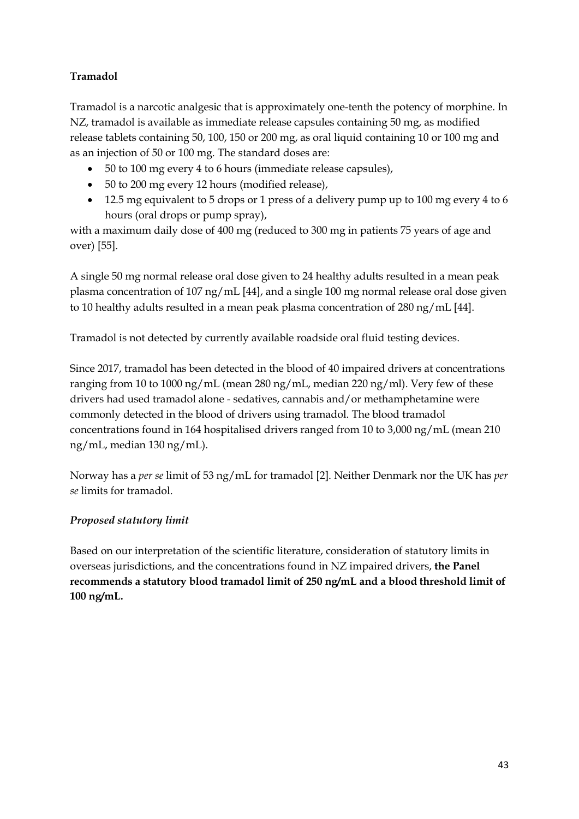## **Tramadol**

Tramadol is a narcotic analgesic that is approximately one-tenth the potency of morphine. In NZ, tramadol is available as immediate release capsules containing 50 mg, as modified release tablets containing 50, 100, 150 or 200 mg, as oral liquid containing 10 or 100 mg and as an injection of 50 or 100 mg. The standard doses are:

- 50 to 100 mg every 4 to 6 hours (immediate release capsules),
- 50 to 200 mg every 12 hours (modified release),
- 12.5 mg equivalent to 5 drops or 1 press of a delivery pump up to 100 mg every 4 to 6 hours (oral drops or pump spray),

with a maximum daily dose of 400 mg (reduced to 300 mg in patients 75 years of age and over) [55].

A single 50 mg normal release oral dose given to 24 healthy adults resulted in a mean peak plasma concentration of 107 ng/mL [44], and a single 100 mg normal release oral dose given to 10 healthy adults resulted in a mean peak plasma concentration of 280 ng/mL [44].

Tramadol is not detected by currently available roadside oral fluid testing devices.

Since 2017, tramadol has been detected in the blood of 40 impaired drivers at concentrations ranging from 10 to 1000 ng/mL (mean 280 ng/mL, median 220 ng/ml). Very few of these drivers had used tramadol alone - sedatives, cannabis and/or methamphetamine were commonly detected in the blood of drivers using tramadol. The blood tramadol concentrations found in 164 hospitalised drivers ranged from 10 to 3,000 ng/mL (mean 210 ng/mL, median 130 ng/mL).

Norway has a *per se* limit of 53 ng/mL for tramadol [2]. Neither Denmark nor the UK has *per se* limits for tramadol.

## *Proposed statutory limit*

Based on our interpretation of the scientific literature, consideration of statutory limits in overseas jurisdictions, and the concentrations found in NZ impaired drivers, **the Panel recommends a statutory blood tramadol limit of 250 ng/mL and a blood threshold limit of 100 ng/mL.**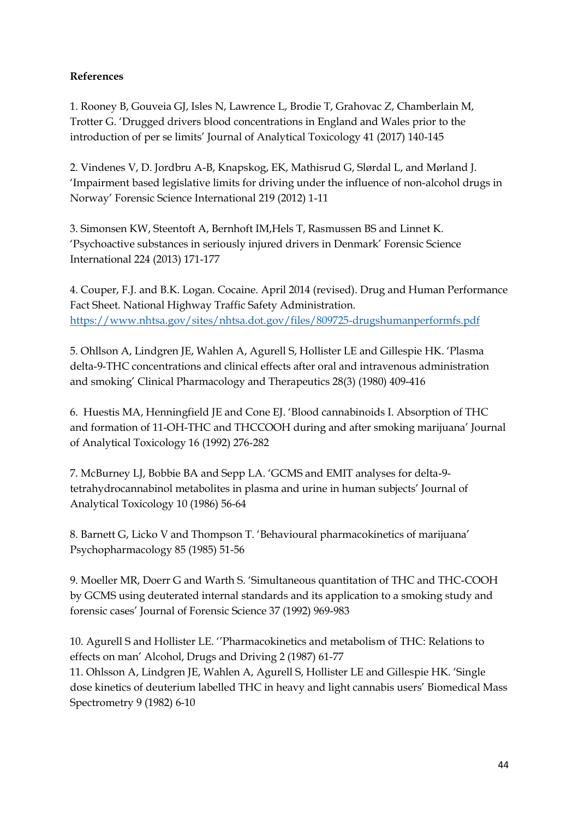### **References**

1. Rooney B, Gouveia GJ, Isles N, Lawrence L, Brodie T, Grahovac Z, Chamberlain M, Trotter G. 'Drugged drivers blood concentrations in England and Wales prior to the introduction of per se limits' Journal of Analytical Toxicology 41 (2017) 140-145

2. Vindenes V, D. Jordbru A-B, Knapskog, EK, Mathisrud G, Slørdal L, and Mørland J. 'Impairment based legislative limits for driving under the influence of non-alcohol drugs in Norway' Forensic Science International 219 (2012) 1-11

3. Simonsen KW, Steentoft A, Bernhoft IM,Hels T, Rasmussen BS and Linnet K. 'Psychoactive substances in seriously injured drivers in Denmark' Forensic Science International 224 (2013) 171-177

4. Couper, F.J. and B.K. Logan. Cocaine. April 2014 (revised). Drug and Human Performance Fact Sheet. National Highway Traffic Safety Administration. <https://www.nhtsa.gov/sites/nhtsa.dot.gov/files/809725-drugshumanperformfs.pdf>

5. Ohllson A, Lindgren JE, Wahlen A, Agurell S, Hollister LE and Gillespie HK. 'Plasma delta-9-THC concentrations and clinical effects after oral and intravenous administration and smoking' Clinical Pharmacology and Therapeutics 28(3) (1980) 409-416

6. Huestis MA, Henningfield JE and Cone EJ. 'Blood cannabinoids I. Absorption of THC and formation of 11-OH-THC and THCCOOH during and after smoking marijuana' Journal of Analytical Toxicology 16 (1992) 276-282

7. McBurney LJ, Bobbie BA and Sepp LA. 'GCMS and EMIT analyses for delta-9 tetrahydrocannabinol metabolites in plasma and urine in human subjects' Journal of Analytical Toxicology 10 (1986) 56-64

8. Barnett G, Licko V and Thompson T. 'Behavioural pharmacokinetics of marijuana' Psychopharmacology 85 (1985) 51-56

9. Moeller MR, Doerr G and Warth S. 'Simultaneous quantitation of THC and THC-COOH by GCMS using deuterated internal standards and its application to a smoking study and forensic cases' Journal of Forensic Science 37 (1992) 969-983

10. Agurell S and Hollister LE. ''Pharmacokinetics and metabolism of THC: Relations to effects on man' Alcohol, Drugs and Driving 2 (1987) 61-77 11. Ohlsson A, Lindgren JE, Wahlen A, Agurell S, Hollister LE and Gillespie HK. 'Single dose kinetics of deuterium labelled THC in heavy and light cannabis users' Biomedical Mass Spectrometry 9 (1982) 6-10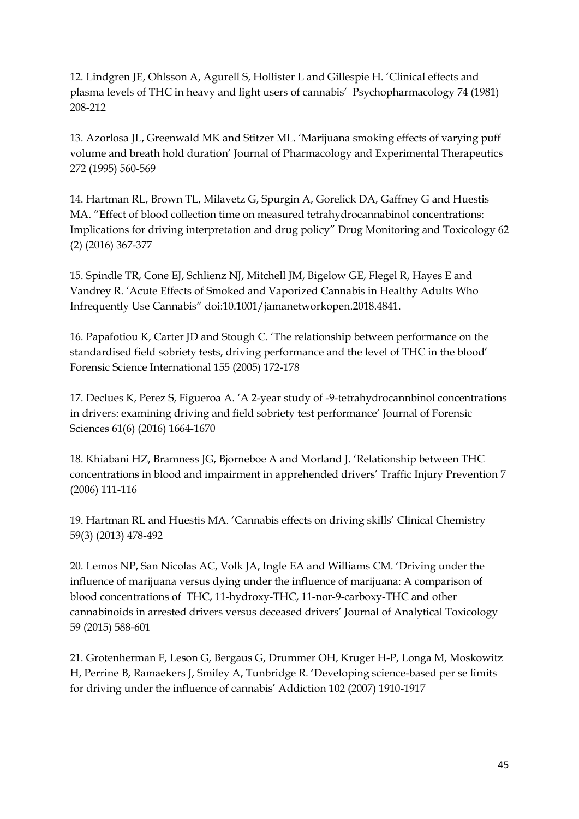12. Lindgren JE, Ohlsson A, Agurell S, Hollister L and Gillespie H. 'Clinical effects and plasma levels of THC in heavy and light users of cannabis' Psychopharmacology 74 (1981) 208-212

13. Azorlosa JL, Greenwald MK and Stitzer ML. 'Marijuana smoking effects of varying puff volume and breath hold duration' Journal of Pharmacology and Experimental Therapeutics 272 (1995) 560-569

14. Hartman RL, Brown TL, Milavetz G, Spurgin A, Gorelick DA, Gaffney G and Huestis MA. "Effect of blood collection time on measured tetrahydrocannabinol concentrations: Implications for driving interpretation and drug policy" Drug Monitoring and Toxicology 62 (2) (2016) 367-377

15. Spindle TR, Cone EJ, Schlienz NJ, Mitchell JM, Bigelow GE, Flegel R, Hayes E and Vandrey R. 'Acute Effects of Smoked and Vaporized Cannabis in Healthy Adults Who Infrequently Use Cannabis" doi:10.1001/jamanetworkopen.2018.4841.

16. Papafotiou K, Carter JD and Stough C. 'The relationship between performance on the standardised field sobriety tests, driving performance and the level of THC in the blood' Forensic Science International 155 (2005) 172-178

17. Declues K, Perez S, Figueroa A. 'A 2-year study of -9-tetrahydrocannbinol concentrations in drivers: examining driving and field sobriety test performance' Journal of Forensic Sciences 61(6) (2016) 1664-1670

18. Khiabani HZ, Bramness JG, Bjorneboe A and Morland J. 'Relationship between THC concentrations in blood and impairment in apprehended drivers' Traffic Injury Prevention 7 (2006) 111-116

19. Hartman RL and Huestis MA. 'Cannabis effects on driving skills' Clinical Chemistry 59(3) (2013) 478-492

20. Lemos NP, San Nicolas AC, Volk JA, Ingle EA and Williams CM. 'Driving under the influence of marijuana versus dying under the influence of marijuana: A comparison of blood concentrations of THC, 11-hydroxy-THC, 11-nor-9-carboxy-THC and other cannabinoids in arrested drivers versus deceased drivers' Journal of Analytical Toxicology 59 (2015) 588-601

21. Grotenherman F, Leson G, Bergaus G, Drummer OH, Kruger H-P, Longa M, Moskowitz H, Perrine B, Ramaekers J, Smiley A, Tunbridge R. 'Developing science-based per se limits for driving under the influence of cannabis' Addiction 102 (2007) 1910-1917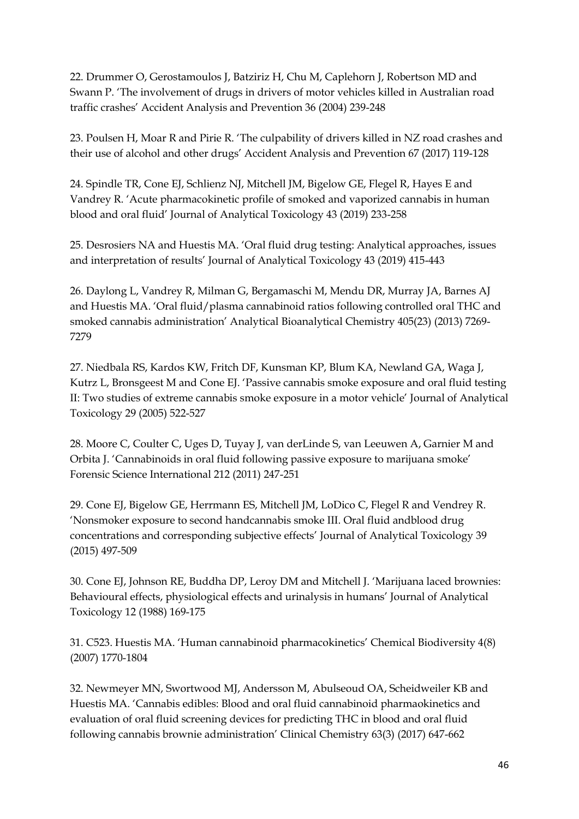22. Drummer O, Gerostamoulos J, Batziriz H, Chu M, Caplehorn J, Robertson MD and Swann P. 'The involvement of drugs in drivers of motor vehicles killed in Australian road traffic crashes' Accident Analysis and Prevention 36 (2004) 239-248

23. Poulsen H, Moar R and Pirie R. 'The culpability of drivers killed in NZ road crashes and their use of alcohol and other drugs' Accident Analysis and Prevention 67 (2017) 119-128

24. Spindle TR, Cone EJ, Schlienz NJ, Mitchell JM, Bigelow GE, Flegel R, Hayes E and Vandrey R. 'Acute pharmacokinetic profile of smoked and vaporized cannabis in human blood and oral fluid' Journal of Analytical Toxicology 43 (2019) 233-258

25. Desrosiers NA and Huestis MA. 'Oral fluid drug testing: Analytical approaches, issues and interpretation of results' Journal of Analytical Toxicology 43 (2019) 415-443

26. Daylong L, Vandrey R, Milman G, Bergamaschi M, Mendu DR, Murray JA, Barnes AJ and Huestis MA. 'Oral fluid/plasma cannabinoid ratios following controlled oral THC and smoked cannabis administration' Analytical Bioanalytical Chemistry 405(23) (2013) 7269- 7279

27. Niedbala RS, Kardos KW, Fritch DF, Kunsman KP, Blum KA, Newland GA, Waga J, Kutrz L, Bronsgeest M and Cone EJ. 'Passive cannabis smoke exposure and oral fluid testing II: Two studies of extreme cannabis smoke exposure in a motor vehicle' Journal of Analytical Toxicology 29 (2005) 522-527

28. Moore C, Coulter C, Uges D, Tuyay J, van derLinde S, van Leeuwen A, Garnier M and Orbita J. 'Cannabinoids in oral fluid following passive exposure to marijuana smoke' Forensic Science International 212 (2011) 247-251

29. Cone EJ, Bigelow GE, Herrmann ES, Mitchell JM, LoDico C, Flegel R and Vendrey R. 'Nonsmoker exposure to second handcannabis smoke III. Oral fluid andblood drug concentrations and corresponding subjective effects' Journal of Analytical Toxicology 39 (2015) 497-509

30. Cone EJ, Johnson RE, Buddha DP, Leroy DM and Mitchell J. 'Marijuana laced brownies: Behavioural effects, physiological effects and urinalysis in humans' Journal of Analytical Toxicology 12 (1988) 169-175

31. C523. Huestis MA. 'Human cannabinoid pharmacokinetics' Chemical Biodiversity 4(8) (2007) 1770-1804

32. Newmeyer MN, Swortwood MJ, Andersson M, Abulseoud OA, Scheidweiler KB and Huestis MA. 'Cannabis edibles: Blood and oral fluid cannabinoid pharmaokinetics and evaluation of oral fluid screening devices for predicting THC in blood and oral fluid following cannabis brownie administration' Clinical Chemistry 63(3) (2017) 647-662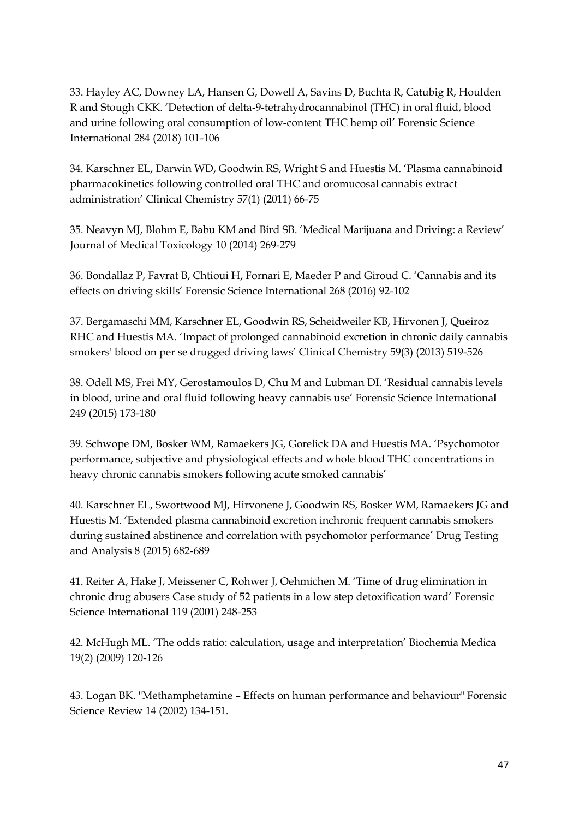33. Hayley AC, Downey LA, Hansen G, Dowell A, Savins D, Buchta R, Catubig R, Houlden R and Stough CKK. 'Detection of delta-9-tetrahydrocannabinol (THC) in oral fluid, blood and urine following oral consumption of low-content THC hemp oil' Forensic Science International 284 (2018) 101-106

34. Karschner EL, Darwin WD, Goodwin RS, Wright S and Huestis M. 'Plasma cannabinoid pharmacokinetics following controlled oral THC and oromucosal cannabis extract administration' Clinical Chemistry 57(1) (2011) 66-75

35. Neavyn MJ, Blohm E, Babu KM and Bird SB. 'Medical Marijuana and Driving: a Review' Journal of Medical Toxicology 10 (2014) 269-279

36. Bondallaz P, Favrat B, Chtioui H, Fornari E, Maeder P and Giroud C. 'Cannabis and its effects on driving skills' Forensic Science International 268 (2016) 92-102

37. Bergamaschi MM, Karschner EL, Goodwin RS, Scheidweiler KB, Hirvonen J, Queiroz RHC and Huestis MA. 'Impact of prolonged cannabinoid excretion in chronic daily cannabis smokers' blood on per se drugged driving laws' Clinical Chemistry 59(3) (2013) 519-526

38. Odell MS, Frei MY, Gerostamoulos D, Chu M and Lubman DI. 'Residual cannabis levels in blood, urine and oral fluid following heavy cannabis use' Forensic Science International 249 (2015) 173-180

39. Schwope DM, Bosker WM, Ramaekers JG, Gorelick DA and Huestis MA. 'Psychomotor performance, subjective and physiological effects and whole blood THC concentrations in heavy chronic cannabis smokers following acute smoked cannabis'

40. Karschner EL, Swortwood MJ, Hirvonene J, Goodwin RS, Bosker WM, Ramaekers JG and Huestis M. 'Extended plasma cannabinoid excretion inchronic frequent cannabis smokers during sustained abstinence and correlation with psychomotor performance' Drug Testing and Analysis 8 (2015) 682-689

41. Reiter A, Hake J, Meissener C, Rohwer J, Oehmichen M. 'Time of drug elimination in chronic drug abusers Case study of 52 patients in a low step detoxification ward' Forensic Science International 119 (2001) 248-253

42. McHugh ML. 'The odds ratio: calculation, usage and interpretation' Biochemia Medica 19(2) (2009) 120-126

43. Logan BK. "Methamphetamine – Effects on human performance and behaviour" Forensic Science Review 14 (2002) 134-151.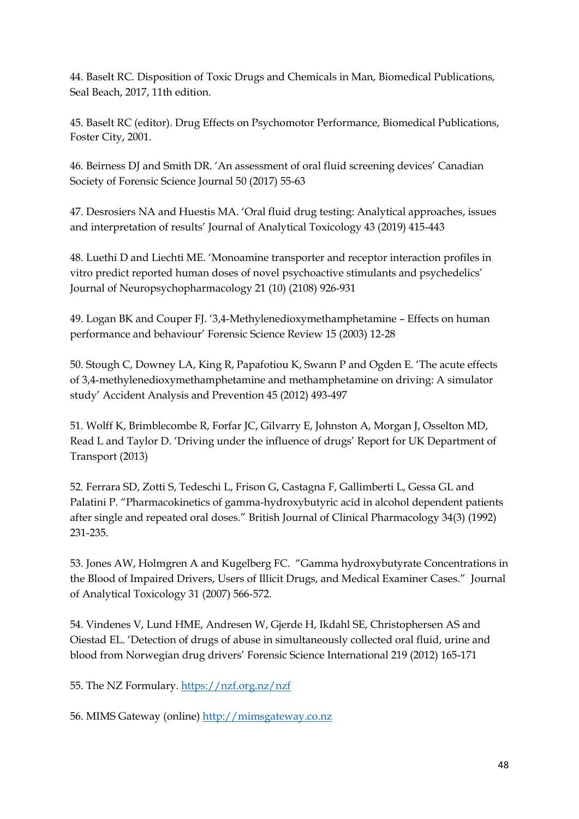44. Baselt RC. Disposition of Toxic Drugs and Chemicals in Man, Biomedical Publications, Seal Beach, 2017, 11th edition.

45. Baselt RC (editor). Drug Effects on Psychomotor Performance, Biomedical Publications, Foster City, 2001.

46. Beirness DJ and Smith DR. 'An assessment of oral fluid screening devices' Canadian Society of Forensic Science Journal 50 (2017) 55-63

47. Desrosiers NA and Huestis MA. 'Oral fluid drug testing: Analytical approaches, issues and interpretation of results' Journal of Analytical Toxicology 43 (2019) 415-443

48. Luethi D and Liechti ME. 'Monoamine transporter and receptor interaction profiles in vitro predict reported human doses of novel psychoactive stimulants and psychedelics' Journal of Neuropsychopharmacology 21 (10) (2108) 926-931

49. Logan BK and Couper FJ. '3,4-Methylenedioxymethamphetamine – Effects on human performance and behaviour' Forensic Science Review 15 (2003) 12-28

50. Stough C, Downey LA, King R, Papafotiou K, Swann P and Ogden E. 'The acute effects of 3,4-methylenedioxymethamphetamine and methamphetamine on driving: A simulator study' Accident Analysis and Prevention 45 (2012) 493-497

51. Wolff K, Brimblecombe R, Forfar JC, Gilvarry E, Johnston A, Morgan J, Osselton MD, Read L and Taylor D. 'Driving under the influence of drugs' Report for UK Department of Transport (2013)

52. Ferrara SD, Zotti S, Tedeschi L, Frison G, Castagna F, Gallimberti L, Gessa GL and Palatini P. "Pharmacokinetics of gamma-hydroxybutyric acid in alcohol dependent patients after single and repeated oral doses." British Journal of Clinical Pharmacology 34(3) (1992) 231-235.

53. Jones AW, Holmgren A and Kugelberg FC. "Gamma hydroxybutyrate Concentrations in the Blood of Impaired Drivers, Users of Illicit Drugs, and Medical Examiner Cases." Journal of Analytical Toxicology 31 (2007) 566-572.

54. Vindenes V, Lund HME, Andresen W, Gjerde H, Ikdahl SE, Christophersen AS and Oiestad EL. 'Detection of drugs of abuse in simultaneously collected oral fluid, urine and blood from Norwegian drug drivers' Forensic Science International 219 (2012) 165-171

55. The NZ Formulary.<https://nzf.org.nz/nzf>

56. MIMS Gateway (online) [http://mimsgateway.co.nz](http://mimsgateway.co.nz/)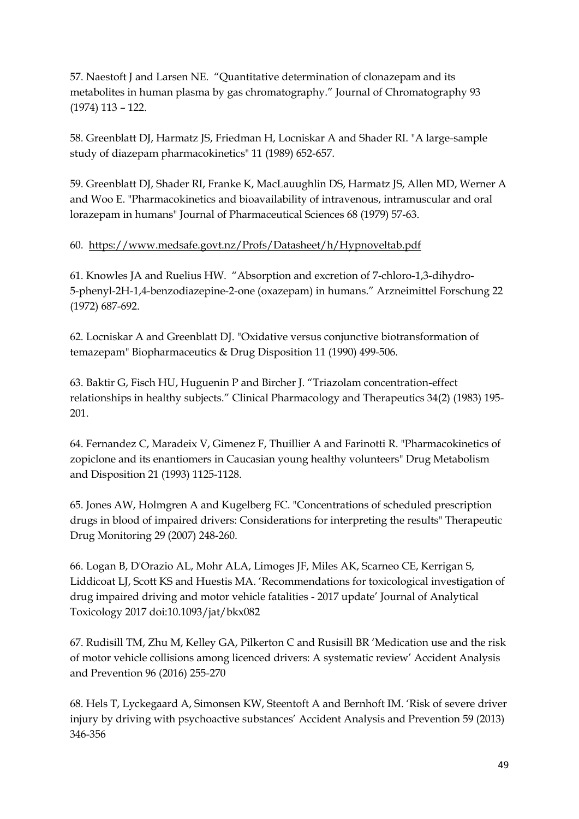57. Naestoft J and Larsen NE. "Quantitative determination of clonazepam and its metabolites in human plasma by gas chromatography." Journal of Chromatography 93 (1974) 113 – 122.

58. Greenblatt DJ, Harmatz JS, Friedman H, Locniskar A and Shader RI. "A large-sample study of diazepam pharmacokinetics" 11 (1989) 652-657.

59. Greenblatt DJ, Shader RI, Franke K, MacLauughlin DS, Harmatz JS, Allen MD, Werner A and Woo E. "Pharmacokinetics and bioavailability of intravenous, intramuscular and oral lorazepam in humans" Journal of Pharmaceutical Sciences 68 (1979) 57-63.

### 60. <https://www.medsafe.govt.nz/Profs/Datasheet/h/Hypnoveltab.pdf>

61. Knowles JA and Ruelius HW. "Absorption and excretion of 7-chloro-1,3-dihydro-5-phenyl-2H-1,4-benzodiazepine-2-one (oxazepam) in humans." Arzneimittel Forschung 22 (1972) 687-692.

62. Locniskar A and Greenblatt DJ. "Oxidative versus conjunctive biotransformation of temazepam" Biopharmaceutics & Drug Disposition 11 (1990) 499-506.

63. Baktir G, Fisch HU, Huguenin P and Bircher J. "Triazolam concentration-effect relationships in healthy subjects." Clinical Pharmacology and Therapeutics 34(2) (1983) 195- 201.

64. Fernandez C, Maradeix V, Gimenez F, Thuillier A and Farinotti R. "Pharmacokinetics of zopiclone and its enantiomers in Caucasian young healthy volunteers" Drug Metabolism and Disposition 21 (1993) 1125-1128.

65. Jones AW, Holmgren A and Kugelberg FC. "Concentrations of scheduled prescription drugs in blood of impaired drivers: Considerations for interpreting the results" Therapeutic Drug Monitoring 29 (2007) 248-260.

66. Logan B, D'Orazio AL, Mohr ALA, Limoges JF, Miles AK, Scarneo CE, Kerrigan S, Liddicoat LJ, Scott KS and Huestis MA. 'Recommendations for toxicological investigation of drug impaired driving and motor vehicle fatalities - 2017 update' Journal of Analytical Toxicology 2017 doi:10.1093/jat/bkx082

67. Rudisill TM, Zhu M, Kelley GA, Pilkerton C and Rusisill BR 'Medication use and the risk of motor vehicle collisions among licenced drivers: A systematic review' Accident Analysis and Prevention 96 (2016) 255-270

68. Hels T, Lyckegaard A, Simonsen KW, Steentoft A and Bernhoft IM. 'Risk of severe driver injury by driving with psychoactive substances' Accident Analysis and Prevention 59 (2013) 346-356